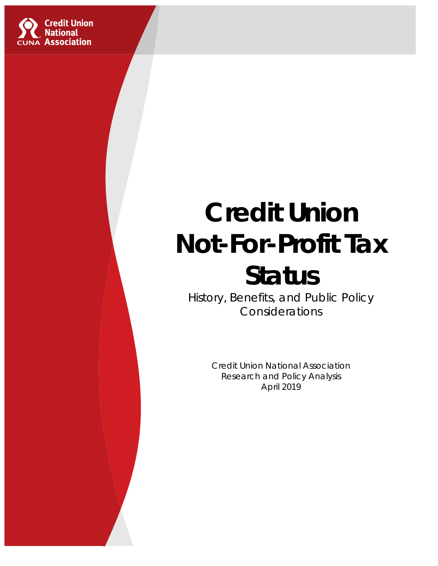

# **Credit Union Not-For-Profit Tax Status**

History, Benefits, and Public Policy Considerations

> Credit Union National Association Research and Policy Analysis April 2019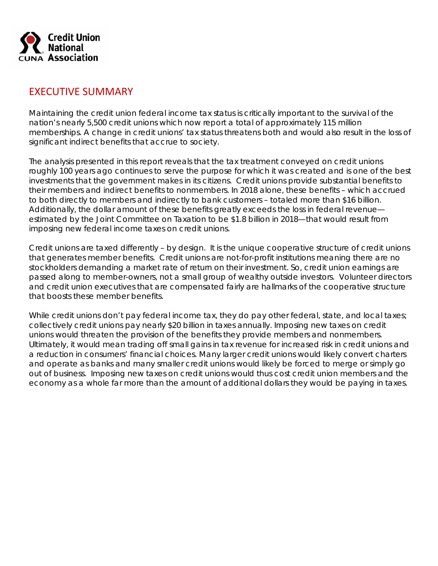

#### EXECUTIVE SUMMARY

Maintaining the credit union federal income tax status is critically important to the survival of the nation's nearly 5,500 credit unions which now report a total of approximately 115 million memberships. A change in credit unions' tax status threatens both and would also result in the loss of significant indirect benefits that accrue to society.

The analysis presented in this report reveals that the tax treatment conveyed on credit unions roughly 100 years ago continues to serve the purpose for which it was created and is one of the best investments that the government makes in its citizens. Credit unions provide substantial benefits to their members and indirect benefits to nonmembers. In 2018 alone, these benefits – which accrued to both directly to members and indirectly to bank customers – totaled more than \$16 billion. Additionally, the dollar amount of these benefits greatly exceeds the loss in federal revenue estimated by the Joint Committee on Taxation to be \$1.8 billion in 2018—that would result from imposing new federal income taxes on credit unions.

Credit unions are taxed differently – by design. It is the unique cooperative structure of credit unions that generates member benefits. Credit unions are not-for-profit institutions meaning there are no stockholders demanding a market rate of return on their investment. So, credit union earnings are passed along to member-owners, not a small group of wealthy outside investors. Volunteer directors and credit union executives that are compensated fairly are hallmarks of the cooperative structure that boosts these member benefits.

While credit unions don't pay federal income tax, they do pay other federal, state, and local taxes; collectively credit unions pay nearly \$20 billion in taxes annually. Imposing new taxes on credit unions would threaten the provision of the benefits they provide members and nonmembers. Ultimately, it would mean trading off small gains in tax revenue for increased risk in credit unions and a reduction in consumers' financial choices. Many larger credit unions would likely convert charters and operate as banks and many smaller credit unions would likely be forced to merge or simply go out of business. Imposing new taxes on credit unions would thus cost credit union members and the economy as a whole far more than the amount of additional dollars they would be paying in taxes.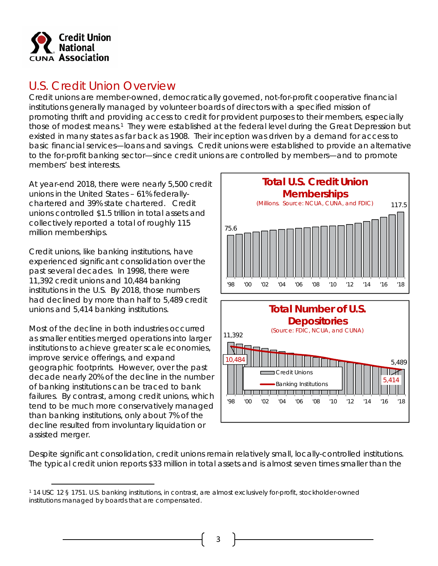

## U.S. Credit Union Overview

Credit unions are member-owned, democratically governed, not-for-profit cooperative financial institutions generally managed by volunteer boards of directors with a specified mission of promoting thrift and providing access to credit for provident purposes to their members, especially those of modest means.<sup>1</sup> They were established at the federal level during the Great Depression but existed in many states as far back as 1908. Their inception was driven by a demand for access to basic financial services—loans and savings. Credit unions were established to provide an alternative to the for-profit banking sector—since credit unions are controlled by members—and to promote members' best interests.

At year-end 2018, there were nearly 5,500 credit unions in the United States – 61% federallychartered and 39% state chartered. Credit unions controlled \$1.5 trillion in total assets and collectively reported a total of roughly 115 million memberships.

Credit unions, like banking institutions, have experienced significant consolidation over the past several decades. In 1998, there were 11,392 credit unions and 10,484 banking institutions in the U.S. By 2018, those numbers had declined by more than half to 5,489 credit unions and 5,414 banking institutions.

Most of the decline in both industries occurred as smaller entities merged operations into larger institutions to achieve greater scale economies, improve service offerings, and expand geographic footprints. However, over the past decade nearly 20% of the decline in the number of banking institutions can be traced to bank failures. By contrast, among credit unions, which tend to be much more conservatively managed than banking institutions, only about 7% of the decline resulted from involuntary liquidation or assisted merger.



Despite significant consolidation, credit unions remain relatively small, locally-controlled institutions. The typical credit union reports \$33 million in total assets and is almost seven times smaller than the

<sup>1 14</sup> USC 12 § 1751. U.S. banking institutions, in contrast, are almost exclusively for-profit, stockholder-owned institutions managed by boards that are compensated.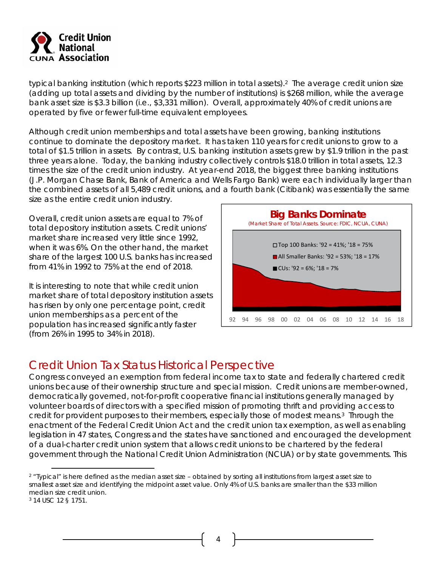

typical banking institution (which reports \$223 million in total assets).2 The average credit union size (adding up total assets and dividing by the number of institutions) is \$268 million, while the average bank asset size is \$3.3 billion (i.e., \$3,331 million). Overall, approximately 40% of credit unions are operated by five or fewer full-time equivalent employees.

Although credit union memberships and total assets have been growing, banking institutions continue to dominate the depository market. It has taken 110 years for credit unions to grow to a total of \$1.5 trillion in assets. By contrast, U.S. banking institution assets grew by \$1.9 trillion in the past three years alone. Today, the banking industry collectively controls \$18.0 trillion in total assets, 12.3 times the size of the credit union industry. At year-end 2018, the biggest three banking institutions (J.P. Morgan Chase Bank, Bank of America and Wells Fargo Bank) were each individually larger than the combined assets of all 5,489 credit unions, and a fourth bank (Citibank) was essentially the same size as the entire credit union industry.

Overall, credit union assets are equal to 7% of total depository institution assets. Credit unions' market share increased very little since 1992, when it was 6%. On the other hand, the market share of the largest 100 U.S. banks has increased from 41% in 1992 to 75% at the end of 2018.

It is interesting to note that while credit union market share of total depository institution assets has risen by only one percentage point, credit union memberships as a percent of the population has increased significantly faster (from 26% in 1995 to 34% in 2018).



## Credit Union Tax Status Historical Perspective

Congress conveyed an exemption from federal income tax to state and federally chartered credit unions because of their ownership structure and special mission. Credit unions are member-owned, democratically governed, not-for-profit cooperative financial institutions generally managed by volunteer boards of directors with a specified mission of promoting thrift and providing access to credit for provident purposes to their members, especially those of modest means.3 Through the enactment of the Federal Credit Union Act and the credit union tax exemption, as well as enabling legislation in 47 states, Congress and the states have sanctioned and encouraged the development of a dual-charter credit union system that allows credit unions to be chartered by the federal government through the National Credit Union Administration (NCUA) or by state governments. This

<sup>&</sup>lt;sup>2</sup> "Typical" is here defined as the median asset size – obtained by sorting all institutions from largest asset size to smallest asset size and identifying the midpoint asset value. Only 4% of U.S. banks are smaller than the \$33 million median size credit union.

<sup>3 14</sup> USC 12 § 1751.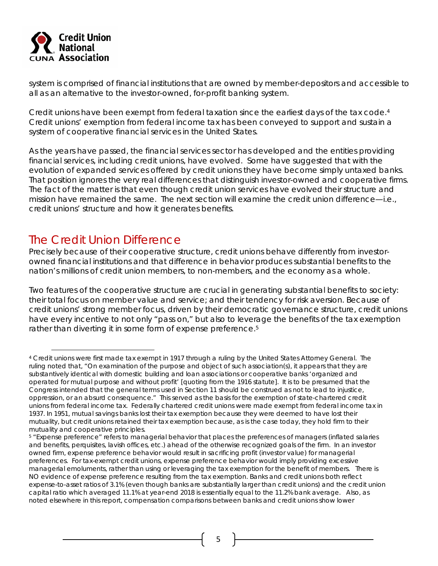

system is comprised of financial institutions that are owned by member-depositors and accessible to all as an alternative to the investor-owned, for-profit banking system.

Credit unions have been exempt from federal taxation since the earliest days of the tax code.<sup>4</sup> Credit unions' exemption from federal income tax has been conveyed to support and sustain a system of cooperative financial services in the United States.

As the years have passed, the financial services sector has developed and the entities providing financial services, including credit unions, have evolved. Some have suggested that with the evolution of expanded services offered by credit unions they have become simply untaxed banks. That position ignores the very real differences that distinguish investor-owned and cooperative firms. The fact of the matter is that even though credit union services have evolved their structure and mission have remained the same. The next section will examine the credit union difference—i.e., credit unions' structure and how it generates benefits.

# The Credit Union Difference

Precisely because of their cooperative structure, credit unions behave differently from investorowned financial institutions and that difference in behavior produces substantial benefits to the nation's millions of credit union members, to non-members, and the economy as a whole.

Two features of the cooperative structure are crucial in generating substantial benefits to society: their total focus on member value and service; and their tendency for risk aversion. Because of credit unions' strong member focus, driven by their democratic governance structure, credit unions have every incentive to not only "pass on," but also to leverage the benefits of the tax exemption rather than diverting it in some form of expense preference.<sup>5</sup>

<sup>4</sup> Credit unions were first made tax exempt in 1917 through a ruling by the United States Attorney General. The ruling noted that, "On examination of the purpose and object of such association(s), it appears that they are substantively identical with domestic building and loan associations or cooperative banks 'organized and operated for mutual purpose and without profit' [quoting from the 1916 statute]. It is to be presumed that the Congress intended that the general terms used in Section 11 should be construed as not to lead to injustice, oppression, or an absurd consequence." This served as the basis for the exemption of state-chartered credit unions from federal income tax. Federally chartered credit unions were made exempt from federal income tax in 1937. In 1951, mutual savings banks lost their tax exemption because they were deemed to have lost their mutuality, but credit unions retained their tax exemption because, as is the case today, they hold firm to their mutuality and cooperative principles.

<sup>5 &</sup>quot;Expense preference" refers to managerial behavior that places the preferences of managers (inflated salaries and benefits, perquisites, lavish offices, etc.) ahead of the otherwise recognized goals of the firm. In an investor owned firm, expense preference behavior would result in sacrificing profit (investor value) for managerial preferences. For tax-exempt credit unions, expense preference behavior would imply providing excessive managerial emoluments, rather than using or leveraging the tax exemption for the benefit of members. There is NO evidence of expense preference resulting from the tax exemption. Banks and credit unions both reflect expense-to-asset ratios of 3.1% (even though banks are substantially larger than credit unions) and the credit union capital ratio which averaged 11.1% at year-end 2018 is essentially equal to the 11.2% bank average. Also, as noted elsewhere in this report, compensation comparisons between banks and credit unions show lower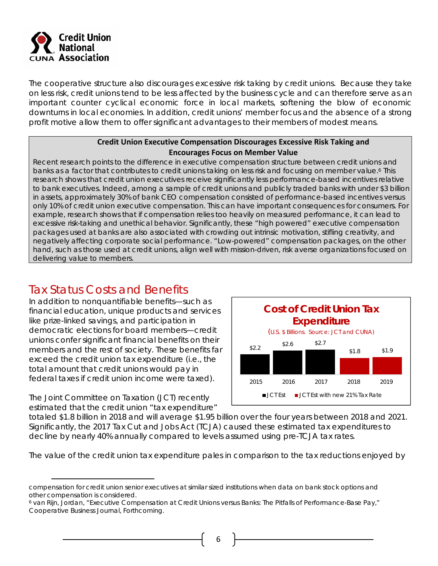

The cooperative structure also discourages excessive risk taking by credit unions. Because they take on less risk, credit unions tend to be less affected by the business cycle and can therefore serve as an important counter cyclical economic force in local markets, softening the blow of economic downturns in local economies. In addition, credit unions' member focus and the absence of a strong profit motive allow them to offer significant advantages to their members of modest means.

#### **Credit Union Executive Compensation Discourages Excessive Risk Taking and Encourages Focus on Member Value**

Recent research points to the difference in executive compensation structure between credit unions and banks as a factor that contributes to credit unions taking on less risk and focusing on member value.<sup>6</sup> This research shows that credit union executives receive significantly less performance-based incentives relative to bank executives. Indeed, among a sample of credit unions and publicly traded banks with under \$3 billion in assets, approximately 30% of bank CEO compensation consisted of performance-based incentives versus only 10% of credit union executive compensation. This can have important consequences for consumers. For example, research shows that if compensation relies too heavily on measured performance, it can lead to excessive risk-taking and unethical behavior. Significantly, these "high powered" executive compensation packages used at banks are also associated with crowding out intrinsic motivation, stifling creativity, and negatively affecting corporate social performance. "Low-powered" compensation packages, on the other hand, such as those used at credit unions, align well with mission-driven, risk averse organizations focused on delivering value to members.

# Tax Status Costs and Benefits

In addition to nonquantifiable benefits—such as financial education, unique products and services like prize-linked savings, and participation in democratic elections for board members—credit unions confer significant financial benefits on their members and the rest of society. These benefits far exceed the credit union tax expenditure (i.e., the total amount that credit unions would pay in federal taxes if credit union income were taxed).

The Joint Committee on Taxation (JCT) recently estimated that the credit union "tax expenditure"



totaled \$1.8 billion in 2018 and will average \$1.95 billion over the four years between 2018 and 2021. Significantly, the 2017 Tax Cut and Jobs Act (TCJA) caused these estimated tax expenditures to decline by nearly 40% annually compared to levels assumed using pre-TCJA tax rates.

The value of the credit union tax expenditure pales in comparison to the tax reductions enjoyed by

 compensation for credit union senior executives at similar sized institutions when data on bank stock options and other compensation is considered.

<sup>6</sup> van Rijn, Jordan, "Executive Compensation at Credit Unions versus Banks: The Pitfalls of Performance-Base Pay," *Cooperative Business Journal*, Forthcoming.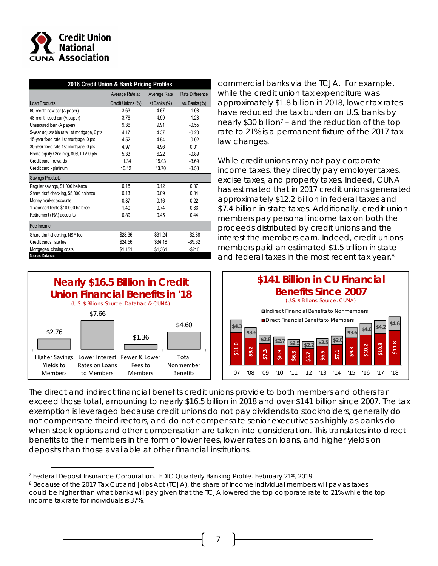

| 2018 Credit Union & Bank Pricing Profiles  |                   |              |                  |  |  |  |  |
|--------------------------------------------|-------------------|--------------|------------------|--|--|--|--|
|                                            | Average Rate at   | Average Rate | Rate Difference  |  |  |  |  |
| <b>Loan Products</b>                       | Credit Unions (%) | at Banks (%) | vs. Banks $(\%)$ |  |  |  |  |
| 60-month new car (A paper)                 | 3.63              | 4.67         | $-1.03$          |  |  |  |  |
| 48-month used car (A paper)                | 3.76              | 4.99         | $-1.23$          |  |  |  |  |
| Unsecured loan (A paper)                   | 9.36              | 9.91         | $-0.55$          |  |  |  |  |
| 5-year adjustable rate 1st mortgage, 0 pts | 4.17              | 4.37         | $-0.20$          |  |  |  |  |
| 15-year fixed rate 1st mortgage, 0 pts     | 4.52              | 4.54         | $-0.02$          |  |  |  |  |
| 30-year fixed rate 1st mortgage, 0 pts     | 4.97              | 4.96         | 0.01             |  |  |  |  |
| Home equity / 2nd mtg, 80% LTV 0 pts       | 5.33              | 6.22         | $-0.89$          |  |  |  |  |
| Credit card - rewards                      | 11.34             | 15.03        | $-3.69$          |  |  |  |  |
| Credit card - platinum                     | 10.12             | 13.70        | $-3.58$          |  |  |  |  |
| <b>Savings Products</b>                    |                   |              |                  |  |  |  |  |
| Regular savings, \$1,000 balance           | 0.18              | 0.12         | 0.07             |  |  |  |  |
| Share draft checking, \$5,000 balance      | 0.13              | 0.09         | 0.04             |  |  |  |  |
| Money market accounts                      | 0.37              | 0.16         | 0.22             |  |  |  |  |
| 1 Year certificate \$10,000 balance        | 1.40              | 0.74         | 0.66             |  |  |  |  |
| Retirement (IRA) accounts                  | 0.89              | 0.45         | 0.44             |  |  |  |  |
| Fee Income                                 |                   |              |                  |  |  |  |  |
| Share draft checking, NSF fee              | \$28.36           | \$31.24      | $-$ \$2.88       |  |  |  |  |
| Credit cards, late fee                     | \$24.56           | \$34.18      | $-$ \$9.62       |  |  |  |  |
| Mortgages, closing costs                   | \$1,151           | \$1,361      | $-$210$          |  |  |  |  |

commercial banks via the TCJA. For example, while the credit union tax expenditure was approximately \$1.8 billion in 2018, lower tax rates have reduced the tax burden on U.S. banks by nearly \$30 billion<sup>7</sup> – and the reduction of the top rate to 21% is a permanent fixture of the 2017 tax law changes.

While credit unions may not pay corporate income taxes, they directly pay employer taxes, excise taxes, and property taxes. Indeed, CUNA has estimated that in 2017 credit unions generated approximately \$12.2 billion in federal taxes and \$7.4 billion in state taxes. Additionally, credit union members pay personal income tax on both the proceeds distributed by credit unions and the interest the members earn. Indeed, credit unions members paid an estimated \$1.5 trillion in state and federal taxes in the most recent tax year.<sup>8</sup>





The direct and indirect financial benefits credit unions provide to both members and others far exceed those total, amounting to nearly \$16.5 billion in 2018 and over \$141 billion since 2007. The tax exemption is leveraged because credit unions do not pay dividends to stockholders, generally do not compensate their directors, and do not compensate senior executives as highly as banks do when stock options and other compensation are taken into consideration. This translates into direct benefits to their members in the form of lower fees, lower rates on loans, and higher yields on deposits than those available at other financial institutions.

<sup>&</sup>lt;sup>7</sup> Federal Deposit Insurance Corporation. FDIC Quarterly Banking Profile. February 21st, 2019.

<sup>8</sup> Because of the 2017 Tax Cut and Jobs Act (TCJA), the share of income individual members will pay as taxes could be higher than what banks will pay given that the TCJA lowered the top corporate rate to 21% while the top income tax rate for individuals is 37%.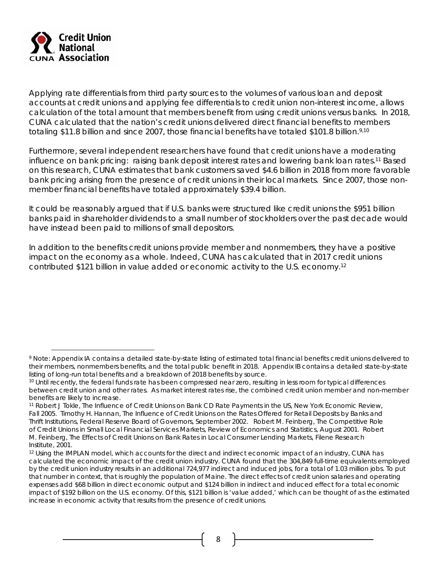

Applying rate differentials from third party sources to the volumes of various loan and deposit accounts at credit unions and applying fee differentials to credit union non-interest income, allows calculation of the total amount that members benefit from using credit unions versus banks. In 2018, CUNA calculated that the nation's credit unions delivered direct financial benefits to members totaling \$11.8 billion and since 2007, those financial benefits have totaled \$101.8 billion.<sup>9,10</sup>

Furthermore, several independent researchers have found that credit unions have a moderating influence on bank pricing: raising bank deposit interest rates and lowering bank loan rates.11 Based on this research, CUNA estimates that bank customers saved \$4.6 billion in 2018 from more favorable bank pricing arising from the presence of credit unions in their local markets. Since 2007, those nonmember financial benefits have totaled approximately \$39.4 billion.

It could be reasonably argued that if U.S. banks were structured like credit unions the \$951 billion banks paid in shareholder dividends to a small number of stockholders over the past decade would have instead been paid to millions of small depositors.

In addition to the benefits credit unions provide member and nonmembers, they have a positive impact on the economy as a whole. Indeed, CUNA has calculated that in 2017 credit unions contributed \$121 billion in value added or economic activity to the U.S. economy.12

<sup>&</sup>lt;sup>9</sup> Note: Appendix IA contains a detailed state-by-state listing of estimated total financial benefits credit unions delivered to their members, nonmembers benefits, and the total public benefit in 2018. Appendix IB contains a detailed state-by-state listing of long-run total benefits and a breakdown of 2018 benefits by source.

<sup>&</sup>lt;sup>10</sup> Until recently, the federal funds rate has been compressed near zero, resulting in less room for typical differences between credit union and other rates. As market interest rates rise, the combined credit union member and non-member benefits are likely to increase.

<sup>11</sup> Robert J Tokle, *The Influence of Credit Unions on Bank CD Rate Payments in the US*, New York Economic Review, Fall 2005. Timothy H. Hannan, *The Influence of Credit Unions on the Rates Offered for Retail Deposits by Banks and Thrift Institutions,* Federal Reserve Board of Governors, September 2002. Robert M. Feinberg, *The Competitive Role of Credit Unions in Small Local Financial Services Markets,* Review of Economics and Statistics, August 2001. Robert M. Feinberg, *The Effects of Credit Unions on Bank Rates in Local Consumer Lending Markets, Filene Research* Institute, 2001.<br><sup>12</sup> Using the IMPLAN model, which accounts for the direct and indirect economic impact of an industry, CUNA has

calculated the economic impact of the credit union industry. CUNA found that the 304,849 full-time equivalents employed by the credit union industry results in an additional 724,977 indirect and induced jobs, for a total of 1.03 million jobs. To put that number in context, that is roughly the population of Maine. The direct effects of credit union salaries and operating expenses add \$68 billion in direct economic output and \$124 billion in indirect and induced effect for a total economic impact of \$192 billion on the U.S. economy. Of this, \$121 billion is 'value added,' which can be thought of as the estimated increase in economic activity that results from the presence of credit unions.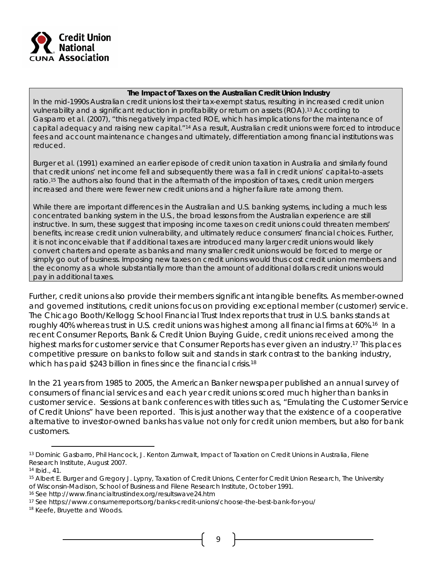

#### **The Impact of Taxes on the Australian Credit Union Industry**

In the mid-1990s Australian credit unions lost their tax-exempt status, resulting in increased credit union vulnerability and a significant reduction in profitability or return on assets (ROA).13 According to Gasparro et al. (2007), "this negatively impacted ROE, which has implications for the maintenance of capital adequacy and raising new capital."14 As a result, Australian credit unions were forced to introduce fees and account maintenance changes and ultimately, differentiation among financial institutions was reduced.

Burger et al. (1991) examined an earlier episode of credit union taxation in Australia and similarly found that credit unions' net income fell and subsequently there was a fall in credit unions' capital-to-assets ratio.15 The authors also found that in the aftermath of the imposition of taxes, credit union mergers increased and there were fewer new credit unions and a higher failure rate among them.

While there are important differences in the Australian and U.S. banking systems, including a much less concentrated banking system in the U.S., the broad lessons from the Australian experience are still instructive. In sum, these suggest that imposing income taxes on credit unions could threaten members' benefits, increase credit union vulnerability, and ultimately reduce consumers' financial choices. Further, it is not inconceivable that if additional taxes are introduced many larger credit unions would likely convert charters and operate as banks and many smaller credit unions would be forced to merge or simply go out of business. Imposing new taxes on credit unions would thus cost credit union members and the economy as a whole substantially more than the amount of additional dollars credit unions would pay in additional taxes.

Further, credit unions also provide their members significant intangible benefits. As member-owned and governed institutions, credit unions focus on providing exceptional member (customer) service. The Chicago Booth/Kellogg School Financial Trust Index reports that trust in U.S. banks stands at roughly 40% whereas trust in U.S. credit unions was highest among all financial firms at 60%.<sup>16</sup> In a recent Consumer Reports, *Bank & Credit Union Buying Guide*, credit unions received among the highest marks for customer service that Consumer Reports has ever given an industry.17 This places competitive pressure on banks to follow suit and stands in stark contrast to the banking industry, which has paid \$243 billion in fines since the financial crisis.<sup>18</sup>

In the 21 years from 1985 to 2005, the *American Banker* newspaper published an annual survey of consumers of financial services and each year credit unions scored much higher than banks in customer service. Sessions at bank conferences with titles such as, "Emulating the Customer Service of Credit Unions" have been reported. This is just another way that the existence of a cooperative alternative to investor-owned banks has value not only for credit union members, but also for bank customers.

16 See http://www.financialtrustindex.org/resultswave24.htm

<sup>13</sup> Dominic Gasbarro, Phil Hancock, J. Kenton Zumwalt, *Impact of Taxation on Credit Unions in Australia,* Filene Research Institute, August 2007.

<sup>14</sup> Ibid., 41.

<sup>15</sup> Albert E. Burger and Gregory J. Lypny, *Taxation of Credit Unions,* Center for Credit Union Research, The University of Wisconsin-Madison, School of Business and Filene Research Institute, October 1991.

<sup>17</sup> See https://www.consumerreports.org/banks-credit-unions/choose-the-best-bank-for-you/

<sup>18</sup> Keefe, Bruyette and Woods.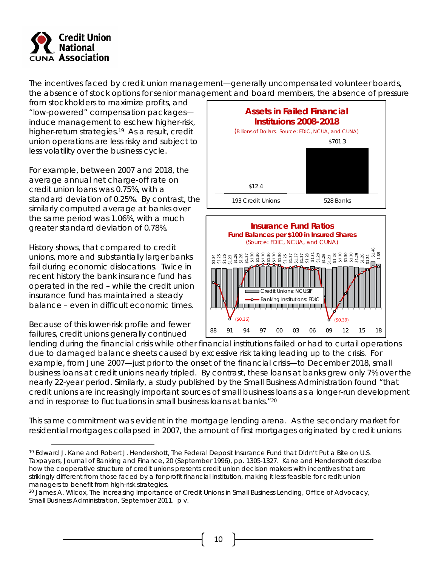

The incentives faced by credit union management—generally uncompensated volunteer boards, the absence of stock options for senior management and board members, the absence of pressure

from stockholders to maximize profits, and "low-powered" compensation packages induce management to eschew higher-risk, higher-return strategies.<sup>19</sup> As a result, credit union operations are less risky and subject to less volatility over the business cycle.

For example, between 2007 and 2018, the average annual net charge-off rate on credit union loans was 0.75%, with a standard deviation of 0.25%. By contrast, the similarly computed average at banks over the same period was 1.06%, with a much greater standard deviation of 0.78%.

History shows, that compared to credit unions, more and substantially larger banks fail during economic dislocations. Twice in recent history the bank insurance fund has operated in the red – while the credit union insurance fund has maintained a steady balance – even in difficult economic times.

Because of this lower-risk profile and fewer failures, credit unions generally continued





lending during the financial crisis while other financial institutions failed or had to curtail operations due to damaged balance sheets caused by excessive risk taking leading up to the crisis. For example, from June 2007—just prior to the onset of the financial crisis—to December 2018, small business loans at credit unions nearly tripled. By contrast, these loans at banks grew only 7% over the nearly 22-year period. Similarly, a study published by the Small Business Administration found "that credit unions are increasingly important sources of small business loans as a longer-run development and in response to fluctuations in small business loans at banks."<sup>20</sup>

This same commitment was evident in the mortgage lending arena. As the secondary market for residential mortgages collapsed in 2007, the amount of first mortgages originated by credit unions

<sup>19</sup> Edward J. Kane and Robert J. Hendershott, *The Federal Deposit Insurance Fund that Didn't Put a Bite on U.S. Taxpayers*, Journal of Banking and Finance, 20 (September 1996), pp. 1305-1327. Kane and Hendershott describe how the cooperative structure of credit unions presents credit union decision makers with incentives that are strikingly different from those faced by a for-profit financial institution, making it less feasible for credit union managers to benefit from high-risk strategies.

<sup>20</sup> James A. Wilcox, *The Increasing Importance of Credit Unions in Small Business Lending,* Office of Advocacy, Small Business Administration, September 2011. p v.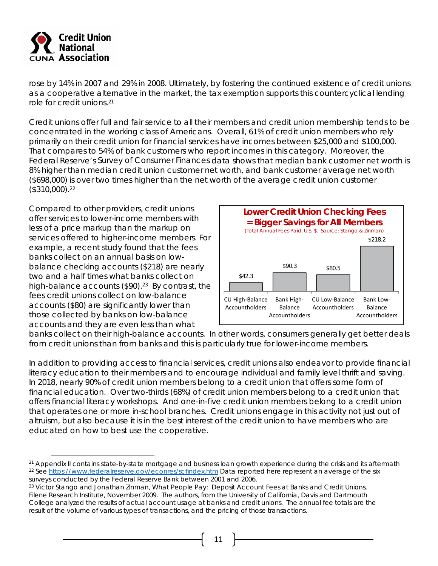

rose by 14% in 2007 and 29% in 2008. Ultimately, by fostering the continued existence of credit unions as a cooperative alternative in the market, the tax exemption supports this countercyclical lending role for credit unions.21

Credit unions offer full and fair service to all their members and credit union membership tends to be concentrated in the working class of Americans. Overall, 61% of credit union members who rely primarily on their credit union for financial services have incomes between \$25,000 and \$100,000. That compares to 54% of bank customers who report incomes in this category. Moreover, the Federal Reserve's *Survey of Consumer Finances* data shows that median bank customer net worth is 8% higher than median credit union customer net worth, and bank customer average net worth (\$698,000) is over two times higher than the net worth of the average credit union customer (\$310,000).22

Compared to other providers, credit unions offer services to lower-income members with less of a price markup than the markup on services offered to higher-income members. For example, a recent study found that the fees banks collect on an annual basis on lowbalance checking accounts (\$218) are nearly two and a half times what banks collect on high-balance accounts  $(\$90).^{23}$  By contrast, the fees credit unions collect on low-balance accounts (\$80) are significantly lower than those collected by banks on low-balance accounts and they are even less than what



banks collect on their high-balance accounts. In other words, consumers generally get better deals from credit unions than from banks and this is particularly true for lower-income members.

In addition to providing access to financial services, credit unions also endeavor to provide financial literacy education to their members and to encourage individual and family level thrift and saving. In 2018, nearly 90% of credit union members belong to a credit union that offers some form of financial education. Over two-thirds (68%) of credit union members belong to a credit union that offers financial literacy workshops. And one-in-five credit union members belong to a credit union that operates one or more in-school branches. Credit unions engage in this activity not just out of altruism, but also because it is in the best interest of the credit union to have members who are educated on how to best use the cooperative.

<sup>&</sup>lt;sup>21</sup> Appendix II contains state-by-state mortgage and business loan growth experience during the crisis and its aftermath<br><sup>22</sup> See https://www.federalreserve.gov/econres/scfindex.htm Data reported here represent an average surveys conducted by the Federal Reserve Bank between 2001 and 2006.

<sup>23</sup> Victor Stango and Jonathan Zinman, *What People Pay: Deposit Account Fees at Banks and Credit Unions,*  Filene Research Institute, November 2009. The authors, from the University of California, Davis and Dartmouth College analyzed the results of actual account usage at banks and credit unions. The annual fee totals are the result of the volume of various types of transactions, and the pricing of those transactions.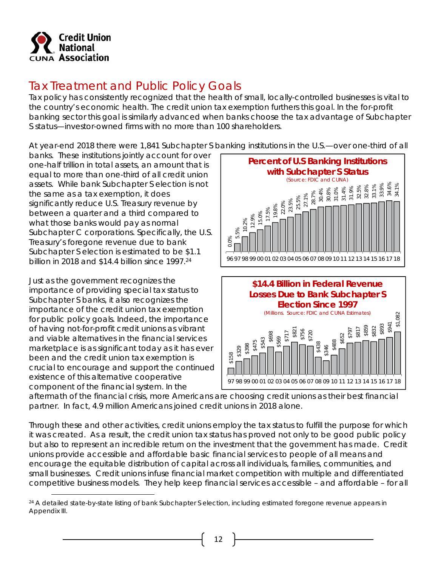

# Tax Treatment and Public Policy Goals

Tax policy has consistently recognized that the health of small, locally-controlled businesses is vital to the country's economic health. The credit union tax exemption furthers this goal. In the for-profit banking sector this goal is similarly advanced when banks choose the tax advantage of Subchapter S status—investor-owned firms with no more than 100 shareholders.

At year-end 2018 there were 1,841 Subchapter S banking institutions in the U.S.—over one-third of all

banks. These institutions jointly account for over one-half trillion in total assets, an amount that is equal to more than one-third of all credit union assets. While bank Subchapter S election is not the same as a tax exemption, it does significantly reduce U.S. Treasury revenue by between a quarter and a third compared to what those banks would pay as normal Subchapter C corporations. Specifically, the U.S. Treasury's foregone revenue due to bank Subchapter S election is estimated to be \$1.1 billion in 2018 and \$14.4 billion since 1997.24

Just as the government recognizes the importance of providing special tax status to Subchapter S banks, it also recognizes the importance of the credit union tax exemption for public policy goals. Indeed, the importance of having not-for-profit credit unions as vibrant and viable alternatives in the financial services marketplace is as significant today as it has ever been and the credit union tax exemption is crucial to encourage and support the continued existence of this alternative cooperative component of the financial system. In the



aftermath of the financial crisis, more Americans are choosing credit unions as their best financial partner. In fact, 4.9 million Americans joined credit unions in 2018 alone.

Through these and other activities, credit unions employ the tax status to fulfill the purpose for which it was created. As a result, the credit union tax status has proved not only to be good public policy but also to represent an incredible return on the investment that the government has made. Credit unions provide accessible and affordable basic financial services to people of all means and encourage the equitable distribution of capital across all individuals, families, communities, and small businesses. Credit unions infuse financial market competition with multiple and differentiated competitive business models. They help keep financial services accessible – and affordable – for all

<sup>&</sup>lt;sup>24</sup> A detailed state-by-state listing of bank Subchapter S election, including estimated foregone revenue appears in Appendix III.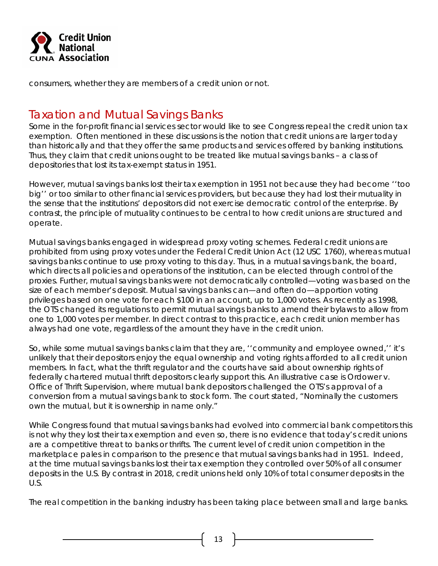

consumers, whether they are members of a credit union or not.

## Taxation and Mutual Savings Banks

Some in the for-profit financial services sector would like to see Congress repeal the credit union tax exemption. Often mentioned in these discussions is the notion that credit unions are larger today than historically and that they offer the same products and services offered by banking institutions. Thus, they claim that credit unions ought to be treated like mutual savings banks – a class of depositories that lost its tax-exempt status in 1951.

However, mutual savings banks lost their tax exemption in 1951 not because they had become ''too big'' or too similar to other financial services providers, but because they had lost their mutuality in the sense that the institutions' depositors did not exercise democratic control of the enterprise. By contrast, the principle of mutuality continues to be central to how credit unions are structured and operate.

Mutual savings banks engaged in widespread proxy voting schemes. Federal credit unions are prohibited from using proxy votes under the Federal Credit Union Act (12 USC 1760), whereas mutual savings banks continue to use proxy voting to this day. Thus, in a mutual savings bank, the board, which directs all policies and operations of the institution, can be elected through control of the proxies. Further, mutual savings banks were not democratically controlled—voting was based on the size of each member's deposit. Mutual savings banks can—and often do—apportion voting privileges based on one vote for each \$100 in an account, up to 1,000 votes. As recently as 1998, the OTS changed its regulations to permit mutual savings banks to amend their bylaws to allow from one to 1,000 votes per member. In direct contrast to this practice, each credit union member has always had one vote, regardless of the amount they have in the credit union.

So, while some mutual savings banks claim that they are, ''community and employee owned,'' it's unlikely that their depositors enjoy the equal ownership and voting rights afforded to all credit union members. In fact, what the thrift regulator and the courts have said about ownership rights of federally chartered mutual thrift depositors clearly support this. An illustrative case is Ordower v. Office of Thrift Supervision, where mutual bank depositors challenged the OTS's approval of a conversion from a mutual savings bank to stock form. The court stated, "Nominally the customers own the mutual, but it is ownership in name only."

While Congress found that mutual savings banks had evolved into commercial bank competitors this is not why they lost their tax exemption and even so, there is no evidence that today's credit unions are a competitive threat to banks or thrifts. The current level of credit union competition in the marketplace pales in comparison to the presence that mutual savings banks had in 1951. Indeed, at the time mutual savings banks lost their tax exemption they controlled over 50% of all consumer deposits in the U.S. By contrast in 2018, credit unions held only 10% of total consumer deposits in the U.S.

The real competition in the banking industry has been taking place between small and large banks.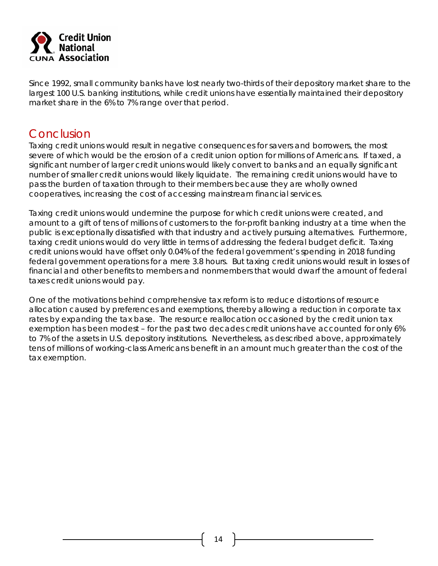

Since 1992, small community banks have lost nearly two-thirds of their depository market share to the largest 100 U.S. banking institutions, while credit unions have essentially maintained their depository market share in the 6% to 7% range over that period.

## Conclusion

Taxing credit unions would result in negative consequences for savers and borrowers, the most severe of which would be the erosion of a credit union option for millions of Americans. If taxed, a significant number of larger credit unions would likely convert to banks and an equally significant number of smaller credit unions would likely liquidate. The remaining credit unions would have to pass the burden of taxation through to their members because they are wholly owned cooperatives, increasing the cost of accessing mainstream financial services.

Taxing credit unions would undermine the purpose for which credit unions were created, and amount to a gift of tens of millions of customers to the for-profit banking industry at a time when the public is exceptionally dissatisfied with that industry and actively pursuing alternatives. Furthermore, taxing credit unions would do very little in terms of addressing the federal budget deficit. Taxing credit unions would have offset only 0.04% of the federal government's spending in 2018 funding federal government operations for a mere 3.8 hours. But taxing credit unions would result in losses of financial and other benefits to members and nonmembers that would dwarf the amount of federal taxes credit unions would pay.

One of the motivations behind comprehensive tax reform is to reduce distortions of resource allocation caused by preferences and exemptions, thereby allowing a reduction in corporate tax rates by expanding the tax base. The resource reallocation occasioned by the credit union tax exemption has been modest – for the past two decades credit unions have accounted for only 6% to 7% of the assets in U.S. depository institutions. Nevertheless, as described above, approximately tens of millions of working-class Americans benefit in an amount much greater than the cost of the tax exemption.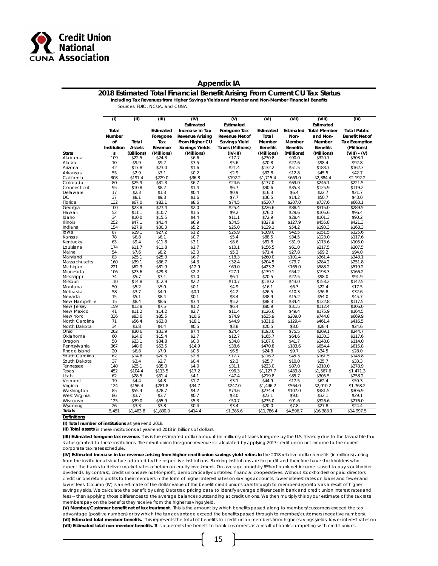

#### **Appendix IA**

**2018 Estimated Total Financial Benefit Arising From Current CU Tax Status**

**Including Tax Revenues from Higher Savings Yields and Member and Non-Member Financial Benefits** 

Sources: FDIC, NCUA, and CUNA

|                                | (1)             | (II)             | (III)            | (IV)                   | $\overline{(\mathsf{V})}$ | (VI)                 | (VII)             | (VIII)                        | (IX)                 |
|--------------------------------|-----------------|------------------|------------------|------------------------|---------------------------|----------------------|-------------------|-------------------------------|----------------------|
|                                |                 |                  |                  | Estimated              | Estimated                 |                      |                   | Estimated                     |                      |
|                                | Total           |                  | Estimated        | Increase in Tax        | Foregone Tax              | Estimated            |                   | <b>Estimated Total Member</b> | <b>Total Public</b>  |
|                                | Number          |                  | Foregone         | <b>Revenue Arising</b> | Revenue Net of            | Total                | Non-              | and Non-                      | Benefit Net of       |
|                                |                 |                  |                  |                        |                           |                      |                   |                               |                      |
|                                | of              | Total            | Tax              | From Higher CU         | Savings Yield             | Member               | Member            | Member                        | <b>Tax Exemption</b> |
|                                | Institution     | Assets           | Revenue          | <b>Savings Yields</b>  | Taxes (Millions)          | <b>Benefits</b>      | <b>Benefits</b>   | <b>Benefits</b>               | (Millions)           |
| State                          | s               | (Billions)       | (Millions)       | (Millions)             | (IV-III)                  | (Millions)           | (Millions)        | (Millions)                    | $(VIII) - (V)$       |
| Alabama                        | 109             | \$22.5           | \$24.3           | \$6.6                  | \$17.7                    | \$230.8              | \$90.0            | \$320.7                       | \$303.1              |
| Alaska                         | 10              | \$9.9            | \$9.2            | \$3.5                  | \$5.6                     | \$70.8               | \$27.6            | \$98.4                        | \$92.8               |
| Arizona                        | 42              | \$17.8           | \$23.0           | \$1.6                  | \$21.4                    | \$132.2              | \$51.5            | \$183.7                       | \$162.3              |
| Arkansas                       | 55<br>308       | \$2.9<br>\$197.4 | \$3.1<br>\$229.0 | \$0.2<br>\$36.8        | \$2.9                     | \$32.8               | \$12.8            | \$45.5                        | \$42.7               |
| California<br>Colorado         | 80              | \$25.9           | \$31.3           | \$6.7                  | \$192.2<br>\$24.6         | \$1,715.4<br>\$177.0 | \$669.0<br>\$69.0 | \$2,384.4<br>\$246.1          | \$2,192.2            |
| Connecticut                    | 95              | \$10.8           | \$8.2            | \$1.4                  | \$6.7                     | \$90.6               | \$35.3            | \$125.9                       | \$221.5<br>\$119.2   |
| Delaware                       | 17              | \$2.3            | \$1.3            | \$0.4                  | \$0.9                     | \$16.3               | \$6.4             | \$22.7                        | \$21.7               |
| DC                             | 37              | \$8.1            | \$9.3            | \$1.6                  | \$7.7                     | \$36.5               | \$14.2            | \$50.7                        | \$43.0               |
| Florida                        | 132             | \$67.0           | \$83.1           | \$8.6                  | \$74.5                    | \$530.7              | \$207.0           | \$737.6                       | \$663.1              |
| Georgia                        | 100             | \$23.8           | \$27.4           | \$2.0                  | \$25.4                    | \$226.6              | \$88.4            | \$315.0                       | \$289.5              |
| Hawaii                         | 52              | \$11.1           | \$10.7           | \$1.5                  | \$9.2                     | \$76.0               | \$29.6            | \$105.6                       | \$96.4               |
| Idaho                          | 34              | \$10.0           | \$15.5           | \$4.4                  | \$11.1                    | \$72.9               | \$28.4            | \$101.3                       | \$90.2               |
| Illinois                       | 252             | \$47.1           | \$41.4           | \$6.9                  | \$34.5                    | \$327.9              | \$127.9           | \$455.8                       | \$421.3              |
| Indiana                        | 154             | \$27.9           | \$30.3           | \$5.2                  | \$25.0                    | \$139.1              | \$54.2            | \$193.3                       | \$168.3              |
| lowa                           | 87              | \$19.1           | \$27.2           | \$1.2                  | \$25.9                    | \$109.0              | \$42.5            | \$151.5                       | \$125.6              |
| Kansas                         | 78              | \$6.8            | \$6.1            | \$0.7                  | \$5.4                     | \$88.5               | \$34.5            | \$123.0                       | \$117.6              |
| Kentucky                       | 63              | \$9.4            | \$11.8           | \$3.1                  | \$8.6                     | \$81.8               | \$31.9            | \$113.6                       | \$105.0              |
| Louisiana                      | 174             | \$11.7           | \$11.8           | \$1.7                  | \$10.1                    | \$156.5              | \$61.0            | \$217.5                       | \$207.5              |
| Maine                          | 54              | \$7.6            | \$8.2            | \$3.0                  | \$5.2                     | \$71.4               | \$27.8            | \$99.2                        | \$94.0               |
| Maryland                       | 83              | \$25.1           | \$25.0           | \$6.7                  | \$18.3                    | \$260.0              | \$101.4           | \$361.4                       | \$343.1              |
| Massachusetts                  | 160             | \$39.1           | \$36.7           | \$4.3                  | \$32.4                    | \$204.5              | \$79.7            | \$284.2                       | \$251.8              |
| Michigan                       | 221             | \$62.9           | \$81.9           | \$12.9                 | \$69.0                    | \$423.2              | \$165.0           | \$588.2                       | \$519.2              |
| Minnesota                      | 106             | \$23.6           | \$29.3           | \$2.2                  | \$27.1                    | \$139.1              | \$54.2            | \$193.3                       | \$166.2              |
| Mississippi                    | 74              | \$5.7            | \$7.1            | \$1.0                  | \$6.1                     | \$70.5               | \$27.5            | \$98.0                        | \$91.9               |
| Missouri                       | 110             | \$14.8           | \$12.9           | \$2.2                  | \$10.7                    | \$110.2              | \$43.0            | \$153.2                       | \$142.5              |
| Montana                        | 50              | \$5.2            | \$5.0            | \$0.1                  | \$4.9                     | \$16.1               | \$6.3             | \$22.4                        | \$17.5               |
| Nebraska                       | 58              | \$3.7            | \$4.0            | $-$0.1$                | \$4.2                     | \$26.5               | \$10.3            | \$36.8                        | \$32.6               |
| Nevada                         | 15              | \$5.1            | \$8.4            | \$0.1                  | \$8.4                     | \$38.9               | \$15.2            | \$54.0                        | \$45.7               |
| New Hampshire                  | 15              | \$8.4            | \$8.6            | \$3.4                  | \$5.2                     | \$88.3               | \$34.4            | \$122.8                       | \$117.5              |
| New Jersey                     | 159             | \$13.8           | \$7.5            | \$1.2                  | \$6.4                     | \$80.9               | \$31.5            | \$112.4                       | \$106.0              |
| New Mexico                     | 41              | \$11.2           | \$14.2           | \$2.7                  | \$11.4                    | \$126.6              | \$49.4            | \$175.9                       | \$164.5              |
| New York                       | 336             | \$83.6           | \$85.5           | \$10.6                 | \$74.9                    | \$535.9              | \$209.0           | \$744.8                       | \$669.9              |
| North Carolina                 | 71              | \$56.4           | \$63.0           | \$18.1                 | \$44.9                    | \$331.9              | \$129.4           | \$461.4                       | \$416.5              |
| North Dakota                   | 34              | \$3.8            | \$4.4            | \$0.5                  | \$3.8                     | \$20.5               | \$8.0             | \$28.4                        | \$24.6               |
| Ohio                           | 262             | \$30.6           | \$31.9           | \$7.4                  | \$24.4                    | \$193.6              | \$75.5            | \$269.1                       | \$244.7              |
| Oklahoma                       | 60              | \$14.6           | \$15.4           | \$2.7                  | \$12.7                    | \$165.7              | \$64.6            | \$230.3                       | \$217.6              |
| Oregon                         | 58              | \$23.1           | \$34.8           | \$0.0<br>\$14.9        | \$34.8                    | \$107.0              | \$41.7            | \$148.8                       | \$114.0              |
| Pennsylvania                   | 367<br>20       | \$48.6<br>\$6.8  | \$53.5<br>\$7.0  | \$0.5                  | \$38.6                    | \$470.8<br>\$24.8    | \$183.6<br>\$9.7  | \$654.4<br>\$34.5             | \$615.8              |
| Rhode Island                   | 62              | \$14.8           | \$20.5           | \$2.8                  | \$6.5<br>\$17.7           |                      |                   | \$161.5                       | \$28.0               |
| South Carolina<br>South Dakota | 37              | \$3.4            | \$2.7            | \$0.4                  | \$2.3                     | \$116.2<br>\$25.7    | \$45.3<br>\$10.0  | \$35.7                        | \$143.8<br>\$33.3    |
| Tennessee                      | 140             | \$25.1           | \$35.0           | \$4.0                  | \$31.1                    | \$223.0              | \$87.0            | \$310.0                       | \$278.9              |
| Texas                          | 452             | \$104.4          | \$113.5          | \$17.2                 | \$96.3                    | \$1,127.7            | \$439.8           | \$1,567.6                     | \$1,471.3            |
| Utah                           | 62              | \$28.5           | \$51.4           | \$4.1                  | \$47.4                    | \$219.8              | \$85.7            | \$305.5                       | \$258.2              |
| Vermont                        | $\overline{19}$ | \$4.4            | \$4.8            | \$1.7                  | \$3.1                     | \$44.9               | \$17.5            | \$62.4                        | \$59.3               |
| Virginia                       | 124             | \$156.4          | \$281.8          | \$34.7                 | \$247.0                   | \$1,446.2            | \$564.0           | \$2,010.2                     | \$1,763.2            |
| Washington                     | 85              | \$55.4           | \$78.7           | \$4.2                  | \$74.6                    | \$274.4              | \$107.0           | \$381.5                       | \$306.9              |
| West Virginia                  | 86              | \$3.7            | \$3.7            | \$0.7                  | \$3.0                     | \$23.1               | \$9.0             | \$32.1                        | \$29.1               |
| Wisconsin                      | 125             | \$39.0           | \$55.9           | \$5.3                  | \$50.7                    | \$235.0              | \$91.6            | \$326.6                       | \$276.0              |
| Wyoming                        | 26              | \$3.3            | \$3.8            | \$0.4                  | \$3.4                     | \$20.0               | \$7.8             | \$27.8                        | \$24.4               |
| Totals                         | 5,451           | \$1,463.8        | \$1,800.0        | \$414.4                | \$1,385.6                 | \$11,786.4           | \$4,596.7         | \$16,383.1                    | \$14,997.5           |

**Definitions**

**(I) Total number of institutions** at year-end 2018.

**(II) Total assets** in these institutions at year-end 2018 in billions of dollars.

**(III) Estimated foregone tax revenue.** This is the estimated dollar amount (in millions) of taxes foregone by the U.S. Treasury due to the favorable tax status granted to these institutions. The credit union foregone revenue is calculated by applying 2017 credit union net income to the current corporate tax rates schedule.

**(IV) Estimated increase in tax revenue arising from higher credit union savings yield refers to** the 2018 relative dollar benefits (in millions) arising from the institutional structure adopted by the respective institutions. Banking institutions are for profit and therefore have stockholders who expect the banks to deliver market rates of return on equity investment. On average, roughtly 65% of bank net income is used to pay stockholder dividends. By contrast, credit unions are not-for-profit, democratically-controlled financial cooperatives. Without stockholders or paid directors, credit unions return profits to their members in the form of higher interest rates on savings accounts, lower interest rates on loans and fewer and lower fees. Column (IV) is an estimate of the dollar value of the benefit credit unions pass through to member-depositors as a result of higher savings yields. We calculate the benefit by using Datatrac pricing data to identify average differences in bank and credit union interest rates and fees -- then applying those differences to the average balances outstanding at credit unions. We then multiply this by our estimate of the tax rate members pay on the benefits they receive from the higher sayings yield.

**(V) Member/Customer benefit net of tax treatment.** This is the amount by which benefits passed along to members/customers exceed the tax advantage (positive numbers) or by which the tax advantage exceed the benefits passed through to member/customers (negative numbers). **(VI) Estimated total member benefits.** This represents the total of benefits to credit union members from higher savings yields, lower interest rates on **(VII) Estimated total non-member benefits.** This represents the benefit to bank customers as a result of banks competing with credit unions.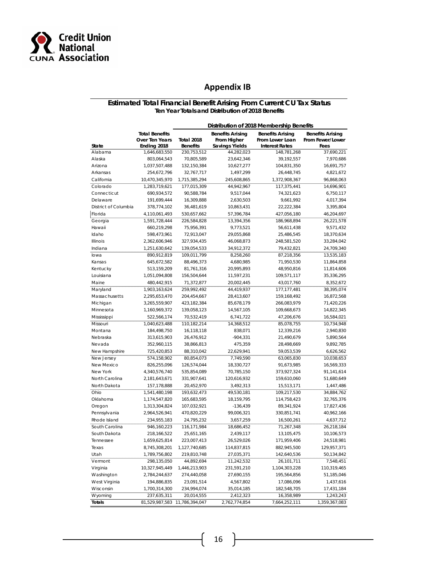

#### **Appendix IB**

#### **Estimated Total Financial Benefit Arising From Current CU Tax Status Ten Year Totals and Distribution of 2018 Benefits**

| <b>Total Benefits</b><br><b>Benefits Arising</b><br><b>Benefits Arising</b><br><b>Benefits Arising</b><br>Over Ten Years<br><b>Total 2018</b><br>From Higher<br>From Lower Loan<br>From Fewer/Lower<br>Ending 2018<br><b>Savings Yields</b><br><b>Interest Rates</b><br>State<br><b>Benefits</b><br>Fees<br>Alabama<br>1,646,683,550<br>230,753,512<br>44,282,023<br>148,781,268<br>37,690,221<br>Alaska<br>70,805,589<br>39,192,557<br>7,970,686<br>803,064,543<br>23,642,346<br>Arizona<br>1,037,507,488<br>132,150,384<br>10,627,277<br>104,831,350<br>16,691,757<br>Arkansas<br>254,672,796<br>32,767,717<br>1,497,299<br>26,448,745<br>4,821,672<br>California<br>10,470,345,970<br>1,715,385,294<br>1,372,908,367<br>96,868,063<br>245,608,865<br>Colorado<br>1,283,719,621<br>177,015,309<br>44,942,967<br>117,375,441<br>14,696,901<br>Connecticut<br>90,588,784<br>9,517,044<br>690,934,572<br>74,321,623<br>6,750,117<br>Delaware<br>191,699,444<br>16,309,888<br>2,630,503<br>9,661,992<br>4,017,394<br>District of Columbia<br>378,774,102<br>36,481,619<br>10,863,431<br>22,222,384<br>3,395,804<br>Florida<br>4,110,061,493<br>530,657,662<br>57,396,784<br>427,056,180<br>46,204,697<br>Georgia<br>1,591,728,444<br>226,584,828<br>13,394,356<br>186,968,894<br>26,221,578<br>Hawaii<br>75,956,391<br>9,571,432<br>660,219,298<br>9,773,521<br>56,611,438<br>Idaho<br>598,473,961<br>72,913,047<br>29,055,868<br>25,486,545<br>18,370,634<br>Illinois<br>2,362,606,946<br>327,934,435<br>46,068,873<br>248,581,520<br>33,284,042<br>Indiana<br>1,251,630,642<br>139,054,533<br>34,912,372<br>24,709,340<br>79,432,821<br>lowa<br>890,912,819<br>109,011,799<br>8,258,260<br>87,218,356<br>13,535,183<br>Kansas<br>645,672,582<br>88,496,373<br>4,680,985<br>71,950,530<br>11,864,858<br>Kentucky<br>513,159,209<br>81,761,316<br>20,995,893<br>48,950,816<br>11,814,606<br>Louisiana<br>1,051,094,808<br>156,504,644<br>11,597,231<br>109,571,117<br>35,336,295<br>Maine<br>71,372,877<br>20,002,445<br>43,017,760<br>8,352,672<br>480,442,915<br>38,395,074<br>Maryland<br>1,903,163,624<br>259,992,492<br>44,419,937<br>177, 177, 481<br>Massachusetts<br>204,454,667<br>28,413,607<br>159,168,492<br>16,872,568<br>2,295,653,470<br>Michigan<br>3,265,559,907<br>423,182,384<br>85,678,179<br>266,083,979<br>71,420,226<br>Minnesota<br>139,058,123<br>14,567,105<br>109,668,673<br>14,822,345<br>1,160,969,372<br>Mississippi<br>522,566,174<br>16,584,021<br>70,532,419<br>6,741,722<br>47,206,676<br>Missouri<br>1,040,623,488<br>110,182,214<br>14,368,512<br>85,078,755<br>10,734,948<br>Montana<br>184,498,750<br>838,071<br>12,339,216<br>2,940,830<br>16,118,118<br>Nebraska<br>313,615,903<br>26,476,912<br>$-904,331$<br>21,490,679<br>5,890,564<br>Nevada<br>352,960,115<br>38,866,813<br>475,359<br>28,498,669<br>9,892,785<br>New Hampshire<br>725,420,853<br>88,310,042<br>22,629,941<br>59,053,539<br>6,626,562<br>New Jersey<br>80,854,073<br>7,749,590<br>10,038,653<br>574,158,902<br>63,065,830<br>New Mexico<br>126,574,044<br>91,673,985<br>16,569,333<br>826,255,096<br>18,330,727<br>New York<br>4,340,576,740<br>535,854,089<br>70,785,150<br>373,927,324<br>91,141,614<br>North Carolina<br>2,181,643,671<br>331,907,641<br>120,616,932<br>159,610,060<br>51,680,649<br>North Dakota<br>157,178,888<br>20,452,970<br>3,492,313<br>15,513,171<br>1,447,486<br>Ohio<br>1,541,480,198<br>193,632,473<br>49,530,181<br>109,217,530<br>34,884,762<br>Oklahoma<br>165,683,595<br>18,159,795<br>114,758,423<br>32,765,376<br>1,174,547,820<br>Oregon<br>1,313,304,824<br>107,032,921<br>$-136,439$<br>89,341,924<br>17,827,436<br>Pennsylvania<br>2,964,526,941<br>470,820,229<br>99,006,321<br>330,851,741<br>40,962,166<br>Rhode Island<br>234,955,183<br>24,795,232<br>3,657,259<br>16,500,261<br>4,637,712<br>South Carolina<br>946,160,223<br>116,171,984<br>18,686,452<br>26,218,184<br>71,267,348<br>South Dakota<br>25,651,165<br>218,166,522<br>2,439,117<br>13,105,475<br>10,106,573<br>1,659,625,814<br>171,959,406<br>Tennessee<br>223,007,413<br>26,529,026<br>24,518,981<br>Texas<br>8,745,308,201<br>1,127,740,685<br>114,837,815<br>882,945,500<br>129,957,371<br>Utah<br>1,789,756,802<br>219,810,748<br>27,035,371<br>142,640,536<br>50,134,842<br>Vermont<br>298,135,050<br>44,892,694<br>11,242,532<br>26,101,711<br>7,548,451<br>Virginia<br>10,327,945,449<br>1,104,303,228<br>1,446,213,903<br>231,591,210<br>110,319,465<br>Washington<br>2,784,244,637<br>274,440,058<br>27,690,155<br>195,564,856<br>51,185,046<br>West Virginia<br>194,886,835<br>23,091,514<br>4,567,802<br>17,086,096<br>1,437,616<br>Wisconsin<br>1,700,314,300<br>234,994,074<br>35,014,185<br>182,548,705<br>17,431,184<br>W yoming<br>237,635,311<br>20,014,555<br>2,412,323<br>16,358,989<br>1,243,243<br><b>Totals</b><br>81,529,987,583<br>11,786,394,047<br>2,762,774,854<br>7,664,252,111<br>1,359,367,083 |  | Distribution of 2018 Membership Benefits |  |  |  |  |  |  |
|------------------------------------------------------------------------------------------------------------------------------------------------------------------------------------------------------------------------------------------------------------------------------------------------------------------------------------------------------------------------------------------------------------------------------------------------------------------------------------------------------------------------------------------------------------------------------------------------------------------------------------------------------------------------------------------------------------------------------------------------------------------------------------------------------------------------------------------------------------------------------------------------------------------------------------------------------------------------------------------------------------------------------------------------------------------------------------------------------------------------------------------------------------------------------------------------------------------------------------------------------------------------------------------------------------------------------------------------------------------------------------------------------------------------------------------------------------------------------------------------------------------------------------------------------------------------------------------------------------------------------------------------------------------------------------------------------------------------------------------------------------------------------------------------------------------------------------------------------------------------------------------------------------------------------------------------------------------------------------------------------------------------------------------------------------------------------------------------------------------------------------------------------------------------------------------------------------------------------------------------------------------------------------------------------------------------------------------------------------------------------------------------------------------------------------------------------------------------------------------------------------------------------------------------------------------------------------------------------------------------------------------------------------------------------------------------------------------------------------------------------------------------------------------------------------------------------------------------------------------------------------------------------------------------------------------------------------------------------------------------------------------------------------------------------------------------------------------------------------------------------------------------------------------------------------------------------------------------------------------------------------------------------------------------------------------------------------------------------------------------------------------------------------------------------------------------------------------------------------------------------------------------------------------------------------------------------------------------------------------------------------------------------------------------------------------------------------------------------------------------------------------------------------------------------------------------------------------------------------------------------------------------------------------------------------------------------------------------------------------------------------------------------------------------------------------------------------------------------------------------------------------------------------------------------------------------------------------------------------------------------------------------------------------------------------------------------------------------------------------------------------------------------------------------------------------------------------------------------------------------------------------------------------------------------------------------------------------------------------------------------------------------------------------------------------------------------------------------------------------------------------------------------------------------------------------------------------------------------------------------------------------------------------------------------------------------------|--|------------------------------------------|--|--|--|--|--|--|
|                                                                                                                                                                                                                                                                                                                                                                                                                                                                                                                                                                                                                                                                                                                                                                                                                                                                                                                                                                                                                                                                                                                                                                                                                                                                                                                                                                                                                                                                                                                                                                                                                                                                                                                                                                                                                                                                                                                                                                                                                                                                                                                                                                                                                                                                                                                                                                                                                                                                                                                                                                                                                                                                                                                                                                                                                                                                                                                                                                                                                                                                                                                                                                                                                                                                                                                                                                                                                                                                                                                                                                                                                                                                                                                                                                                                                                                                                                                                                                                                                                                                                                                                                                                                                                                                                                                                                                                                                                                                                                                                                                                                                                                                                                                                                                                                                                                                                                                                                      |  |                                          |  |  |  |  |  |  |
|                                                                                                                                                                                                                                                                                                                                                                                                                                                                                                                                                                                                                                                                                                                                                                                                                                                                                                                                                                                                                                                                                                                                                                                                                                                                                                                                                                                                                                                                                                                                                                                                                                                                                                                                                                                                                                                                                                                                                                                                                                                                                                                                                                                                                                                                                                                                                                                                                                                                                                                                                                                                                                                                                                                                                                                                                                                                                                                                                                                                                                                                                                                                                                                                                                                                                                                                                                                                                                                                                                                                                                                                                                                                                                                                                                                                                                                                                                                                                                                                                                                                                                                                                                                                                                                                                                                                                                                                                                                                                                                                                                                                                                                                                                                                                                                                                                                                                                                                                      |  |                                          |  |  |  |  |  |  |
|                                                                                                                                                                                                                                                                                                                                                                                                                                                                                                                                                                                                                                                                                                                                                                                                                                                                                                                                                                                                                                                                                                                                                                                                                                                                                                                                                                                                                                                                                                                                                                                                                                                                                                                                                                                                                                                                                                                                                                                                                                                                                                                                                                                                                                                                                                                                                                                                                                                                                                                                                                                                                                                                                                                                                                                                                                                                                                                                                                                                                                                                                                                                                                                                                                                                                                                                                                                                                                                                                                                                                                                                                                                                                                                                                                                                                                                                                                                                                                                                                                                                                                                                                                                                                                                                                                                                                                                                                                                                                                                                                                                                                                                                                                                                                                                                                                                                                                                                                      |  |                                          |  |  |  |  |  |  |
|                                                                                                                                                                                                                                                                                                                                                                                                                                                                                                                                                                                                                                                                                                                                                                                                                                                                                                                                                                                                                                                                                                                                                                                                                                                                                                                                                                                                                                                                                                                                                                                                                                                                                                                                                                                                                                                                                                                                                                                                                                                                                                                                                                                                                                                                                                                                                                                                                                                                                                                                                                                                                                                                                                                                                                                                                                                                                                                                                                                                                                                                                                                                                                                                                                                                                                                                                                                                                                                                                                                                                                                                                                                                                                                                                                                                                                                                                                                                                                                                                                                                                                                                                                                                                                                                                                                                                                                                                                                                                                                                                                                                                                                                                                                                                                                                                                                                                                                                                      |  |                                          |  |  |  |  |  |  |
|                                                                                                                                                                                                                                                                                                                                                                                                                                                                                                                                                                                                                                                                                                                                                                                                                                                                                                                                                                                                                                                                                                                                                                                                                                                                                                                                                                                                                                                                                                                                                                                                                                                                                                                                                                                                                                                                                                                                                                                                                                                                                                                                                                                                                                                                                                                                                                                                                                                                                                                                                                                                                                                                                                                                                                                                                                                                                                                                                                                                                                                                                                                                                                                                                                                                                                                                                                                                                                                                                                                                                                                                                                                                                                                                                                                                                                                                                                                                                                                                                                                                                                                                                                                                                                                                                                                                                                                                                                                                                                                                                                                                                                                                                                                                                                                                                                                                                                                                                      |  |                                          |  |  |  |  |  |  |
|                                                                                                                                                                                                                                                                                                                                                                                                                                                                                                                                                                                                                                                                                                                                                                                                                                                                                                                                                                                                                                                                                                                                                                                                                                                                                                                                                                                                                                                                                                                                                                                                                                                                                                                                                                                                                                                                                                                                                                                                                                                                                                                                                                                                                                                                                                                                                                                                                                                                                                                                                                                                                                                                                                                                                                                                                                                                                                                                                                                                                                                                                                                                                                                                                                                                                                                                                                                                                                                                                                                                                                                                                                                                                                                                                                                                                                                                                                                                                                                                                                                                                                                                                                                                                                                                                                                                                                                                                                                                                                                                                                                                                                                                                                                                                                                                                                                                                                                                                      |  |                                          |  |  |  |  |  |  |
|                                                                                                                                                                                                                                                                                                                                                                                                                                                                                                                                                                                                                                                                                                                                                                                                                                                                                                                                                                                                                                                                                                                                                                                                                                                                                                                                                                                                                                                                                                                                                                                                                                                                                                                                                                                                                                                                                                                                                                                                                                                                                                                                                                                                                                                                                                                                                                                                                                                                                                                                                                                                                                                                                                                                                                                                                                                                                                                                                                                                                                                                                                                                                                                                                                                                                                                                                                                                                                                                                                                                                                                                                                                                                                                                                                                                                                                                                                                                                                                                                                                                                                                                                                                                                                                                                                                                                                                                                                                                                                                                                                                                                                                                                                                                                                                                                                                                                                                                                      |  |                                          |  |  |  |  |  |  |
|                                                                                                                                                                                                                                                                                                                                                                                                                                                                                                                                                                                                                                                                                                                                                                                                                                                                                                                                                                                                                                                                                                                                                                                                                                                                                                                                                                                                                                                                                                                                                                                                                                                                                                                                                                                                                                                                                                                                                                                                                                                                                                                                                                                                                                                                                                                                                                                                                                                                                                                                                                                                                                                                                                                                                                                                                                                                                                                                                                                                                                                                                                                                                                                                                                                                                                                                                                                                                                                                                                                                                                                                                                                                                                                                                                                                                                                                                                                                                                                                                                                                                                                                                                                                                                                                                                                                                                                                                                                                                                                                                                                                                                                                                                                                                                                                                                                                                                                                                      |  |                                          |  |  |  |  |  |  |
|                                                                                                                                                                                                                                                                                                                                                                                                                                                                                                                                                                                                                                                                                                                                                                                                                                                                                                                                                                                                                                                                                                                                                                                                                                                                                                                                                                                                                                                                                                                                                                                                                                                                                                                                                                                                                                                                                                                                                                                                                                                                                                                                                                                                                                                                                                                                                                                                                                                                                                                                                                                                                                                                                                                                                                                                                                                                                                                                                                                                                                                                                                                                                                                                                                                                                                                                                                                                                                                                                                                                                                                                                                                                                                                                                                                                                                                                                                                                                                                                                                                                                                                                                                                                                                                                                                                                                                                                                                                                                                                                                                                                                                                                                                                                                                                                                                                                                                                                                      |  |                                          |  |  |  |  |  |  |
|                                                                                                                                                                                                                                                                                                                                                                                                                                                                                                                                                                                                                                                                                                                                                                                                                                                                                                                                                                                                                                                                                                                                                                                                                                                                                                                                                                                                                                                                                                                                                                                                                                                                                                                                                                                                                                                                                                                                                                                                                                                                                                                                                                                                                                                                                                                                                                                                                                                                                                                                                                                                                                                                                                                                                                                                                                                                                                                                                                                                                                                                                                                                                                                                                                                                                                                                                                                                                                                                                                                                                                                                                                                                                                                                                                                                                                                                                                                                                                                                                                                                                                                                                                                                                                                                                                                                                                                                                                                                                                                                                                                                                                                                                                                                                                                                                                                                                                                                                      |  |                                          |  |  |  |  |  |  |
|                                                                                                                                                                                                                                                                                                                                                                                                                                                                                                                                                                                                                                                                                                                                                                                                                                                                                                                                                                                                                                                                                                                                                                                                                                                                                                                                                                                                                                                                                                                                                                                                                                                                                                                                                                                                                                                                                                                                                                                                                                                                                                                                                                                                                                                                                                                                                                                                                                                                                                                                                                                                                                                                                                                                                                                                                                                                                                                                                                                                                                                                                                                                                                                                                                                                                                                                                                                                                                                                                                                                                                                                                                                                                                                                                                                                                                                                                                                                                                                                                                                                                                                                                                                                                                                                                                                                                                                                                                                                                                                                                                                                                                                                                                                                                                                                                                                                                                                                                      |  |                                          |  |  |  |  |  |  |
|                                                                                                                                                                                                                                                                                                                                                                                                                                                                                                                                                                                                                                                                                                                                                                                                                                                                                                                                                                                                                                                                                                                                                                                                                                                                                                                                                                                                                                                                                                                                                                                                                                                                                                                                                                                                                                                                                                                                                                                                                                                                                                                                                                                                                                                                                                                                                                                                                                                                                                                                                                                                                                                                                                                                                                                                                                                                                                                                                                                                                                                                                                                                                                                                                                                                                                                                                                                                                                                                                                                                                                                                                                                                                                                                                                                                                                                                                                                                                                                                                                                                                                                                                                                                                                                                                                                                                                                                                                                                                                                                                                                                                                                                                                                                                                                                                                                                                                                                                      |  |                                          |  |  |  |  |  |  |
|                                                                                                                                                                                                                                                                                                                                                                                                                                                                                                                                                                                                                                                                                                                                                                                                                                                                                                                                                                                                                                                                                                                                                                                                                                                                                                                                                                                                                                                                                                                                                                                                                                                                                                                                                                                                                                                                                                                                                                                                                                                                                                                                                                                                                                                                                                                                                                                                                                                                                                                                                                                                                                                                                                                                                                                                                                                                                                                                                                                                                                                                                                                                                                                                                                                                                                                                                                                                                                                                                                                                                                                                                                                                                                                                                                                                                                                                                                                                                                                                                                                                                                                                                                                                                                                                                                                                                                                                                                                                                                                                                                                                                                                                                                                                                                                                                                                                                                                                                      |  |                                          |  |  |  |  |  |  |
|                                                                                                                                                                                                                                                                                                                                                                                                                                                                                                                                                                                                                                                                                                                                                                                                                                                                                                                                                                                                                                                                                                                                                                                                                                                                                                                                                                                                                                                                                                                                                                                                                                                                                                                                                                                                                                                                                                                                                                                                                                                                                                                                                                                                                                                                                                                                                                                                                                                                                                                                                                                                                                                                                                                                                                                                                                                                                                                                                                                                                                                                                                                                                                                                                                                                                                                                                                                                                                                                                                                                                                                                                                                                                                                                                                                                                                                                                                                                                                                                                                                                                                                                                                                                                                                                                                                                                                                                                                                                                                                                                                                                                                                                                                                                                                                                                                                                                                                                                      |  |                                          |  |  |  |  |  |  |
|                                                                                                                                                                                                                                                                                                                                                                                                                                                                                                                                                                                                                                                                                                                                                                                                                                                                                                                                                                                                                                                                                                                                                                                                                                                                                                                                                                                                                                                                                                                                                                                                                                                                                                                                                                                                                                                                                                                                                                                                                                                                                                                                                                                                                                                                                                                                                                                                                                                                                                                                                                                                                                                                                                                                                                                                                                                                                                                                                                                                                                                                                                                                                                                                                                                                                                                                                                                                                                                                                                                                                                                                                                                                                                                                                                                                                                                                                                                                                                                                                                                                                                                                                                                                                                                                                                                                                                                                                                                                                                                                                                                                                                                                                                                                                                                                                                                                                                                                                      |  |                                          |  |  |  |  |  |  |
|                                                                                                                                                                                                                                                                                                                                                                                                                                                                                                                                                                                                                                                                                                                                                                                                                                                                                                                                                                                                                                                                                                                                                                                                                                                                                                                                                                                                                                                                                                                                                                                                                                                                                                                                                                                                                                                                                                                                                                                                                                                                                                                                                                                                                                                                                                                                                                                                                                                                                                                                                                                                                                                                                                                                                                                                                                                                                                                                                                                                                                                                                                                                                                                                                                                                                                                                                                                                                                                                                                                                                                                                                                                                                                                                                                                                                                                                                                                                                                                                                                                                                                                                                                                                                                                                                                                                                                                                                                                                                                                                                                                                                                                                                                                                                                                                                                                                                                                                                      |  |                                          |  |  |  |  |  |  |
|                                                                                                                                                                                                                                                                                                                                                                                                                                                                                                                                                                                                                                                                                                                                                                                                                                                                                                                                                                                                                                                                                                                                                                                                                                                                                                                                                                                                                                                                                                                                                                                                                                                                                                                                                                                                                                                                                                                                                                                                                                                                                                                                                                                                                                                                                                                                                                                                                                                                                                                                                                                                                                                                                                                                                                                                                                                                                                                                                                                                                                                                                                                                                                                                                                                                                                                                                                                                                                                                                                                                                                                                                                                                                                                                                                                                                                                                                                                                                                                                                                                                                                                                                                                                                                                                                                                                                                                                                                                                                                                                                                                                                                                                                                                                                                                                                                                                                                                                                      |  |                                          |  |  |  |  |  |  |
|                                                                                                                                                                                                                                                                                                                                                                                                                                                                                                                                                                                                                                                                                                                                                                                                                                                                                                                                                                                                                                                                                                                                                                                                                                                                                                                                                                                                                                                                                                                                                                                                                                                                                                                                                                                                                                                                                                                                                                                                                                                                                                                                                                                                                                                                                                                                                                                                                                                                                                                                                                                                                                                                                                                                                                                                                                                                                                                                                                                                                                                                                                                                                                                                                                                                                                                                                                                                                                                                                                                                                                                                                                                                                                                                                                                                                                                                                                                                                                                                                                                                                                                                                                                                                                                                                                                                                                                                                                                                                                                                                                                                                                                                                                                                                                                                                                                                                                                                                      |  |                                          |  |  |  |  |  |  |
|                                                                                                                                                                                                                                                                                                                                                                                                                                                                                                                                                                                                                                                                                                                                                                                                                                                                                                                                                                                                                                                                                                                                                                                                                                                                                                                                                                                                                                                                                                                                                                                                                                                                                                                                                                                                                                                                                                                                                                                                                                                                                                                                                                                                                                                                                                                                                                                                                                                                                                                                                                                                                                                                                                                                                                                                                                                                                                                                                                                                                                                                                                                                                                                                                                                                                                                                                                                                                                                                                                                                                                                                                                                                                                                                                                                                                                                                                                                                                                                                                                                                                                                                                                                                                                                                                                                                                                                                                                                                                                                                                                                                                                                                                                                                                                                                                                                                                                                                                      |  |                                          |  |  |  |  |  |  |
|                                                                                                                                                                                                                                                                                                                                                                                                                                                                                                                                                                                                                                                                                                                                                                                                                                                                                                                                                                                                                                                                                                                                                                                                                                                                                                                                                                                                                                                                                                                                                                                                                                                                                                                                                                                                                                                                                                                                                                                                                                                                                                                                                                                                                                                                                                                                                                                                                                                                                                                                                                                                                                                                                                                                                                                                                                                                                                                                                                                                                                                                                                                                                                                                                                                                                                                                                                                                                                                                                                                                                                                                                                                                                                                                                                                                                                                                                                                                                                                                                                                                                                                                                                                                                                                                                                                                                                                                                                                                                                                                                                                                                                                                                                                                                                                                                                                                                                                                                      |  |                                          |  |  |  |  |  |  |
|                                                                                                                                                                                                                                                                                                                                                                                                                                                                                                                                                                                                                                                                                                                                                                                                                                                                                                                                                                                                                                                                                                                                                                                                                                                                                                                                                                                                                                                                                                                                                                                                                                                                                                                                                                                                                                                                                                                                                                                                                                                                                                                                                                                                                                                                                                                                                                                                                                                                                                                                                                                                                                                                                                                                                                                                                                                                                                                                                                                                                                                                                                                                                                                                                                                                                                                                                                                                                                                                                                                                                                                                                                                                                                                                                                                                                                                                                                                                                                                                                                                                                                                                                                                                                                                                                                                                                                                                                                                                                                                                                                                                                                                                                                                                                                                                                                                                                                                                                      |  |                                          |  |  |  |  |  |  |
|                                                                                                                                                                                                                                                                                                                                                                                                                                                                                                                                                                                                                                                                                                                                                                                                                                                                                                                                                                                                                                                                                                                                                                                                                                                                                                                                                                                                                                                                                                                                                                                                                                                                                                                                                                                                                                                                                                                                                                                                                                                                                                                                                                                                                                                                                                                                                                                                                                                                                                                                                                                                                                                                                                                                                                                                                                                                                                                                                                                                                                                                                                                                                                                                                                                                                                                                                                                                                                                                                                                                                                                                                                                                                                                                                                                                                                                                                                                                                                                                                                                                                                                                                                                                                                                                                                                                                                                                                                                                                                                                                                                                                                                                                                                                                                                                                                                                                                                                                      |  |                                          |  |  |  |  |  |  |
|                                                                                                                                                                                                                                                                                                                                                                                                                                                                                                                                                                                                                                                                                                                                                                                                                                                                                                                                                                                                                                                                                                                                                                                                                                                                                                                                                                                                                                                                                                                                                                                                                                                                                                                                                                                                                                                                                                                                                                                                                                                                                                                                                                                                                                                                                                                                                                                                                                                                                                                                                                                                                                                                                                                                                                                                                                                                                                                                                                                                                                                                                                                                                                                                                                                                                                                                                                                                                                                                                                                                                                                                                                                                                                                                                                                                                                                                                                                                                                                                                                                                                                                                                                                                                                                                                                                                                                                                                                                                                                                                                                                                                                                                                                                                                                                                                                                                                                                                                      |  |                                          |  |  |  |  |  |  |
|                                                                                                                                                                                                                                                                                                                                                                                                                                                                                                                                                                                                                                                                                                                                                                                                                                                                                                                                                                                                                                                                                                                                                                                                                                                                                                                                                                                                                                                                                                                                                                                                                                                                                                                                                                                                                                                                                                                                                                                                                                                                                                                                                                                                                                                                                                                                                                                                                                                                                                                                                                                                                                                                                                                                                                                                                                                                                                                                                                                                                                                                                                                                                                                                                                                                                                                                                                                                                                                                                                                                                                                                                                                                                                                                                                                                                                                                                                                                                                                                                                                                                                                                                                                                                                                                                                                                                                                                                                                                                                                                                                                                                                                                                                                                                                                                                                                                                                                                                      |  |                                          |  |  |  |  |  |  |
|                                                                                                                                                                                                                                                                                                                                                                                                                                                                                                                                                                                                                                                                                                                                                                                                                                                                                                                                                                                                                                                                                                                                                                                                                                                                                                                                                                                                                                                                                                                                                                                                                                                                                                                                                                                                                                                                                                                                                                                                                                                                                                                                                                                                                                                                                                                                                                                                                                                                                                                                                                                                                                                                                                                                                                                                                                                                                                                                                                                                                                                                                                                                                                                                                                                                                                                                                                                                                                                                                                                                                                                                                                                                                                                                                                                                                                                                                                                                                                                                                                                                                                                                                                                                                                                                                                                                                                                                                                                                                                                                                                                                                                                                                                                                                                                                                                                                                                                                                      |  |                                          |  |  |  |  |  |  |
|                                                                                                                                                                                                                                                                                                                                                                                                                                                                                                                                                                                                                                                                                                                                                                                                                                                                                                                                                                                                                                                                                                                                                                                                                                                                                                                                                                                                                                                                                                                                                                                                                                                                                                                                                                                                                                                                                                                                                                                                                                                                                                                                                                                                                                                                                                                                                                                                                                                                                                                                                                                                                                                                                                                                                                                                                                                                                                                                                                                                                                                                                                                                                                                                                                                                                                                                                                                                                                                                                                                                                                                                                                                                                                                                                                                                                                                                                                                                                                                                                                                                                                                                                                                                                                                                                                                                                                                                                                                                                                                                                                                                                                                                                                                                                                                                                                                                                                                                                      |  |                                          |  |  |  |  |  |  |
|                                                                                                                                                                                                                                                                                                                                                                                                                                                                                                                                                                                                                                                                                                                                                                                                                                                                                                                                                                                                                                                                                                                                                                                                                                                                                                                                                                                                                                                                                                                                                                                                                                                                                                                                                                                                                                                                                                                                                                                                                                                                                                                                                                                                                                                                                                                                                                                                                                                                                                                                                                                                                                                                                                                                                                                                                                                                                                                                                                                                                                                                                                                                                                                                                                                                                                                                                                                                                                                                                                                                                                                                                                                                                                                                                                                                                                                                                                                                                                                                                                                                                                                                                                                                                                                                                                                                                                                                                                                                                                                                                                                                                                                                                                                                                                                                                                                                                                                                                      |  |                                          |  |  |  |  |  |  |
|                                                                                                                                                                                                                                                                                                                                                                                                                                                                                                                                                                                                                                                                                                                                                                                                                                                                                                                                                                                                                                                                                                                                                                                                                                                                                                                                                                                                                                                                                                                                                                                                                                                                                                                                                                                                                                                                                                                                                                                                                                                                                                                                                                                                                                                                                                                                                                                                                                                                                                                                                                                                                                                                                                                                                                                                                                                                                                                                                                                                                                                                                                                                                                                                                                                                                                                                                                                                                                                                                                                                                                                                                                                                                                                                                                                                                                                                                                                                                                                                                                                                                                                                                                                                                                                                                                                                                                                                                                                                                                                                                                                                                                                                                                                                                                                                                                                                                                                                                      |  |                                          |  |  |  |  |  |  |
|                                                                                                                                                                                                                                                                                                                                                                                                                                                                                                                                                                                                                                                                                                                                                                                                                                                                                                                                                                                                                                                                                                                                                                                                                                                                                                                                                                                                                                                                                                                                                                                                                                                                                                                                                                                                                                                                                                                                                                                                                                                                                                                                                                                                                                                                                                                                                                                                                                                                                                                                                                                                                                                                                                                                                                                                                                                                                                                                                                                                                                                                                                                                                                                                                                                                                                                                                                                                                                                                                                                                                                                                                                                                                                                                                                                                                                                                                                                                                                                                                                                                                                                                                                                                                                                                                                                                                                                                                                                                                                                                                                                                                                                                                                                                                                                                                                                                                                                                                      |  |                                          |  |  |  |  |  |  |
|                                                                                                                                                                                                                                                                                                                                                                                                                                                                                                                                                                                                                                                                                                                                                                                                                                                                                                                                                                                                                                                                                                                                                                                                                                                                                                                                                                                                                                                                                                                                                                                                                                                                                                                                                                                                                                                                                                                                                                                                                                                                                                                                                                                                                                                                                                                                                                                                                                                                                                                                                                                                                                                                                                                                                                                                                                                                                                                                                                                                                                                                                                                                                                                                                                                                                                                                                                                                                                                                                                                                                                                                                                                                                                                                                                                                                                                                                                                                                                                                                                                                                                                                                                                                                                                                                                                                                                                                                                                                                                                                                                                                                                                                                                                                                                                                                                                                                                                                                      |  |                                          |  |  |  |  |  |  |
|                                                                                                                                                                                                                                                                                                                                                                                                                                                                                                                                                                                                                                                                                                                                                                                                                                                                                                                                                                                                                                                                                                                                                                                                                                                                                                                                                                                                                                                                                                                                                                                                                                                                                                                                                                                                                                                                                                                                                                                                                                                                                                                                                                                                                                                                                                                                                                                                                                                                                                                                                                                                                                                                                                                                                                                                                                                                                                                                                                                                                                                                                                                                                                                                                                                                                                                                                                                                                                                                                                                                                                                                                                                                                                                                                                                                                                                                                                                                                                                                                                                                                                                                                                                                                                                                                                                                                                                                                                                                                                                                                                                                                                                                                                                                                                                                                                                                                                                                                      |  |                                          |  |  |  |  |  |  |
|                                                                                                                                                                                                                                                                                                                                                                                                                                                                                                                                                                                                                                                                                                                                                                                                                                                                                                                                                                                                                                                                                                                                                                                                                                                                                                                                                                                                                                                                                                                                                                                                                                                                                                                                                                                                                                                                                                                                                                                                                                                                                                                                                                                                                                                                                                                                                                                                                                                                                                                                                                                                                                                                                                                                                                                                                                                                                                                                                                                                                                                                                                                                                                                                                                                                                                                                                                                                                                                                                                                                                                                                                                                                                                                                                                                                                                                                                                                                                                                                                                                                                                                                                                                                                                                                                                                                                                                                                                                                                                                                                                                                                                                                                                                                                                                                                                                                                                                                                      |  |                                          |  |  |  |  |  |  |
|                                                                                                                                                                                                                                                                                                                                                                                                                                                                                                                                                                                                                                                                                                                                                                                                                                                                                                                                                                                                                                                                                                                                                                                                                                                                                                                                                                                                                                                                                                                                                                                                                                                                                                                                                                                                                                                                                                                                                                                                                                                                                                                                                                                                                                                                                                                                                                                                                                                                                                                                                                                                                                                                                                                                                                                                                                                                                                                                                                                                                                                                                                                                                                                                                                                                                                                                                                                                                                                                                                                                                                                                                                                                                                                                                                                                                                                                                                                                                                                                                                                                                                                                                                                                                                                                                                                                                                                                                                                                                                                                                                                                                                                                                                                                                                                                                                                                                                                                                      |  |                                          |  |  |  |  |  |  |
|                                                                                                                                                                                                                                                                                                                                                                                                                                                                                                                                                                                                                                                                                                                                                                                                                                                                                                                                                                                                                                                                                                                                                                                                                                                                                                                                                                                                                                                                                                                                                                                                                                                                                                                                                                                                                                                                                                                                                                                                                                                                                                                                                                                                                                                                                                                                                                                                                                                                                                                                                                                                                                                                                                                                                                                                                                                                                                                                                                                                                                                                                                                                                                                                                                                                                                                                                                                                                                                                                                                                                                                                                                                                                                                                                                                                                                                                                                                                                                                                                                                                                                                                                                                                                                                                                                                                                                                                                                                                                                                                                                                                                                                                                                                                                                                                                                                                                                                                                      |  |                                          |  |  |  |  |  |  |
|                                                                                                                                                                                                                                                                                                                                                                                                                                                                                                                                                                                                                                                                                                                                                                                                                                                                                                                                                                                                                                                                                                                                                                                                                                                                                                                                                                                                                                                                                                                                                                                                                                                                                                                                                                                                                                                                                                                                                                                                                                                                                                                                                                                                                                                                                                                                                                                                                                                                                                                                                                                                                                                                                                                                                                                                                                                                                                                                                                                                                                                                                                                                                                                                                                                                                                                                                                                                                                                                                                                                                                                                                                                                                                                                                                                                                                                                                                                                                                                                                                                                                                                                                                                                                                                                                                                                                                                                                                                                                                                                                                                                                                                                                                                                                                                                                                                                                                                                                      |  |                                          |  |  |  |  |  |  |
|                                                                                                                                                                                                                                                                                                                                                                                                                                                                                                                                                                                                                                                                                                                                                                                                                                                                                                                                                                                                                                                                                                                                                                                                                                                                                                                                                                                                                                                                                                                                                                                                                                                                                                                                                                                                                                                                                                                                                                                                                                                                                                                                                                                                                                                                                                                                                                                                                                                                                                                                                                                                                                                                                                                                                                                                                                                                                                                                                                                                                                                                                                                                                                                                                                                                                                                                                                                                                                                                                                                                                                                                                                                                                                                                                                                                                                                                                                                                                                                                                                                                                                                                                                                                                                                                                                                                                                                                                                                                                                                                                                                                                                                                                                                                                                                                                                                                                                                                                      |  |                                          |  |  |  |  |  |  |
|                                                                                                                                                                                                                                                                                                                                                                                                                                                                                                                                                                                                                                                                                                                                                                                                                                                                                                                                                                                                                                                                                                                                                                                                                                                                                                                                                                                                                                                                                                                                                                                                                                                                                                                                                                                                                                                                                                                                                                                                                                                                                                                                                                                                                                                                                                                                                                                                                                                                                                                                                                                                                                                                                                                                                                                                                                                                                                                                                                                                                                                                                                                                                                                                                                                                                                                                                                                                                                                                                                                                                                                                                                                                                                                                                                                                                                                                                                                                                                                                                                                                                                                                                                                                                                                                                                                                                                                                                                                                                                                                                                                                                                                                                                                                                                                                                                                                                                                                                      |  |                                          |  |  |  |  |  |  |
|                                                                                                                                                                                                                                                                                                                                                                                                                                                                                                                                                                                                                                                                                                                                                                                                                                                                                                                                                                                                                                                                                                                                                                                                                                                                                                                                                                                                                                                                                                                                                                                                                                                                                                                                                                                                                                                                                                                                                                                                                                                                                                                                                                                                                                                                                                                                                                                                                                                                                                                                                                                                                                                                                                                                                                                                                                                                                                                                                                                                                                                                                                                                                                                                                                                                                                                                                                                                                                                                                                                                                                                                                                                                                                                                                                                                                                                                                                                                                                                                                                                                                                                                                                                                                                                                                                                                                                                                                                                                                                                                                                                                                                                                                                                                                                                                                                                                                                                                                      |  |                                          |  |  |  |  |  |  |
|                                                                                                                                                                                                                                                                                                                                                                                                                                                                                                                                                                                                                                                                                                                                                                                                                                                                                                                                                                                                                                                                                                                                                                                                                                                                                                                                                                                                                                                                                                                                                                                                                                                                                                                                                                                                                                                                                                                                                                                                                                                                                                                                                                                                                                                                                                                                                                                                                                                                                                                                                                                                                                                                                                                                                                                                                                                                                                                                                                                                                                                                                                                                                                                                                                                                                                                                                                                                                                                                                                                                                                                                                                                                                                                                                                                                                                                                                                                                                                                                                                                                                                                                                                                                                                                                                                                                                                                                                                                                                                                                                                                                                                                                                                                                                                                                                                                                                                                                                      |  |                                          |  |  |  |  |  |  |
|                                                                                                                                                                                                                                                                                                                                                                                                                                                                                                                                                                                                                                                                                                                                                                                                                                                                                                                                                                                                                                                                                                                                                                                                                                                                                                                                                                                                                                                                                                                                                                                                                                                                                                                                                                                                                                                                                                                                                                                                                                                                                                                                                                                                                                                                                                                                                                                                                                                                                                                                                                                                                                                                                                                                                                                                                                                                                                                                                                                                                                                                                                                                                                                                                                                                                                                                                                                                                                                                                                                                                                                                                                                                                                                                                                                                                                                                                                                                                                                                                                                                                                                                                                                                                                                                                                                                                                                                                                                                                                                                                                                                                                                                                                                                                                                                                                                                                                                                                      |  |                                          |  |  |  |  |  |  |
|                                                                                                                                                                                                                                                                                                                                                                                                                                                                                                                                                                                                                                                                                                                                                                                                                                                                                                                                                                                                                                                                                                                                                                                                                                                                                                                                                                                                                                                                                                                                                                                                                                                                                                                                                                                                                                                                                                                                                                                                                                                                                                                                                                                                                                                                                                                                                                                                                                                                                                                                                                                                                                                                                                                                                                                                                                                                                                                                                                                                                                                                                                                                                                                                                                                                                                                                                                                                                                                                                                                                                                                                                                                                                                                                                                                                                                                                                                                                                                                                                                                                                                                                                                                                                                                                                                                                                                                                                                                                                                                                                                                                                                                                                                                                                                                                                                                                                                                                                      |  |                                          |  |  |  |  |  |  |
|                                                                                                                                                                                                                                                                                                                                                                                                                                                                                                                                                                                                                                                                                                                                                                                                                                                                                                                                                                                                                                                                                                                                                                                                                                                                                                                                                                                                                                                                                                                                                                                                                                                                                                                                                                                                                                                                                                                                                                                                                                                                                                                                                                                                                                                                                                                                                                                                                                                                                                                                                                                                                                                                                                                                                                                                                                                                                                                                                                                                                                                                                                                                                                                                                                                                                                                                                                                                                                                                                                                                                                                                                                                                                                                                                                                                                                                                                                                                                                                                                                                                                                                                                                                                                                                                                                                                                                                                                                                                                                                                                                                                                                                                                                                                                                                                                                                                                                                                                      |  |                                          |  |  |  |  |  |  |
|                                                                                                                                                                                                                                                                                                                                                                                                                                                                                                                                                                                                                                                                                                                                                                                                                                                                                                                                                                                                                                                                                                                                                                                                                                                                                                                                                                                                                                                                                                                                                                                                                                                                                                                                                                                                                                                                                                                                                                                                                                                                                                                                                                                                                                                                                                                                                                                                                                                                                                                                                                                                                                                                                                                                                                                                                                                                                                                                                                                                                                                                                                                                                                                                                                                                                                                                                                                                                                                                                                                                                                                                                                                                                                                                                                                                                                                                                                                                                                                                                                                                                                                                                                                                                                                                                                                                                                                                                                                                                                                                                                                                                                                                                                                                                                                                                                                                                                                                                      |  |                                          |  |  |  |  |  |  |
|                                                                                                                                                                                                                                                                                                                                                                                                                                                                                                                                                                                                                                                                                                                                                                                                                                                                                                                                                                                                                                                                                                                                                                                                                                                                                                                                                                                                                                                                                                                                                                                                                                                                                                                                                                                                                                                                                                                                                                                                                                                                                                                                                                                                                                                                                                                                                                                                                                                                                                                                                                                                                                                                                                                                                                                                                                                                                                                                                                                                                                                                                                                                                                                                                                                                                                                                                                                                                                                                                                                                                                                                                                                                                                                                                                                                                                                                                                                                                                                                                                                                                                                                                                                                                                                                                                                                                                                                                                                                                                                                                                                                                                                                                                                                                                                                                                                                                                                                                      |  |                                          |  |  |  |  |  |  |
|                                                                                                                                                                                                                                                                                                                                                                                                                                                                                                                                                                                                                                                                                                                                                                                                                                                                                                                                                                                                                                                                                                                                                                                                                                                                                                                                                                                                                                                                                                                                                                                                                                                                                                                                                                                                                                                                                                                                                                                                                                                                                                                                                                                                                                                                                                                                                                                                                                                                                                                                                                                                                                                                                                                                                                                                                                                                                                                                                                                                                                                                                                                                                                                                                                                                                                                                                                                                                                                                                                                                                                                                                                                                                                                                                                                                                                                                                                                                                                                                                                                                                                                                                                                                                                                                                                                                                                                                                                                                                                                                                                                                                                                                                                                                                                                                                                                                                                                                                      |  |                                          |  |  |  |  |  |  |
|                                                                                                                                                                                                                                                                                                                                                                                                                                                                                                                                                                                                                                                                                                                                                                                                                                                                                                                                                                                                                                                                                                                                                                                                                                                                                                                                                                                                                                                                                                                                                                                                                                                                                                                                                                                                                                                                                                                                                                                                                                                                                                                                                                                                                                                                                                                                                                                                                                                                                                                                                                                                                                                                                                                                                                                                                                                                                                                                                                                                                                                                                                                                                                                                                                                                                                                                                                                                                                                                                                                                                                                                                                                                                                                                                                                                                                                                                                                                                                                                                                                                                                                                                                                                                                                                                                                                                                                                                                                                                                                                                                                                                                                                                                                                                                                                                                                                                                                                                      |  |                                          |  |  |  |  |  |  |
|                                                                                                                                                                                                                                                                                                                                                                                                                                                                                                                                                                                                                                                                                                                                                                                                                                                                                                                                                                                                                                                                                                                                                                                                                                                                                                                                                                                                                                                                                                                                                                                                                                                                                                                                                                                                                                                                                                                                                                                                                                                                                                                                                                                                                                                                                                                                                                                                                                                                                                                                                                                                                                                                                                                                                                                                                                                                                                                                                                                                                                                                                                                                                                                                                                                                                                                                                                                                                                                                                                                                                                                                                                                                                                                                                                                                                                                                                                                                                                                                                                                                                                                                                                                                                                                                                                                                                                                                                                                                                                                                                                                                                                                                                                                                                                                                                                                                                                                                                      |  |                                          |  |  |  |  |  |  |
|                                                                                                                                                                                                                                                                                                                                                                                                                                                                                                                                                                                                                                                                                                                                                                                                                                                                                                                                                                                                                                                                                                                                                                                                                                                                                                                                                                                                                                                                                                                                                                                                                                                                                                                                                                                                                                                                                                                                                                                                                                                                                                                                                                                                                                                                                                                                                                                                                                                                                                                                                                                                                                                                                                                                                                                                                                                                                                                                                                                                                                                                                                                                                                                                                                                                                                                                                                                                                                                                                                                                                                                                                                                                                                                                                                                                                                                                                                                                                                                                                                                                                                                                                                                                                                                                                                                                                                                                                                                                                                                                                                                                                                                                                                                                                                                                                                                                                                                                                      |  |                                          |  |  |  |  |  |  |
|                                                                                                                                                                                                                                                                                                                                                                                                                                                                                                                                                                                                                                                                                                                                                                                                                                                                                                                                                                                                                                                                                                                                                                                                                                                                                                                                                                                                                                                                                                                                                                                                                                                                                                                                                                                                                                                                                                                                                                                                                                                                                                                                                                                                                                                                                                                                                                                                                                                                                                                                                                                                                                                                                                                                                                                                                                                                                                                                                                                                                                                                                                                                                                                                                                                                                                                                                                                                                                                                                                                                                                                                                                                                                                                                                                                                                                                                                                                                                                                                                                                                                                                                                                                                                                                                                                                                                                                                                                                                                                                                                                                                                                                                                                                                                                                                                                                                                                                                                      |  |                                          |  |  |  |  |  |  |
|                                                                                                                                                                                                                                                                                                                                                                                                                                                                                                                                                                                                                                                                                                                                                                                                                                                                                                                                                                                                                                                                                                                                                                                                                                                                                                                                                                                                                                                                                                                                                                                                                                                                                                                                                                                                                                                                                                                                                                                                                                                                                                                                                                                                                                                                                                                                                                                                                                                                                                                                                                                                                                                                                                                                                                                                                                                                                                                                                                                                                                                                                                                                                                                                                                                                                                                                                                                                                                                                                                                                                                                                                                                                                                                                                                                                                                                                                                                                                                                                                                                                                                                                                                                                                                                                                                                                                                                                                                                                                                                                                                                                                                                                                                                                                                                                                                                                                                                                                      |  |                                          |  |  |  |  |  |  |
|                                                                                                                                                                                                                                                                                                                                                                                                                                                                                                                                                                                                                                                                                                                                                                                                                                                                                                                                                                                                                                                                                                                                                                                                                                                                                                                                                                                                                                                                                                                                                                                                                                                                                                                                                                                                                                                                                                                                                                                                                                                                                                                                                                                                                                                                                                                                                                                                                                                                                                                                                                                                                                                                                                                                                                                                                                                                                                                                                                                                                                                                                                                                                                                                                                                                                                                                                                                                                                                                                                                                                                                                                                                                                                                                                                                                                                                                                                                                                                                                                                                                                                                                                                                                                                                                                                                                                                                                                                                                                                                                                                                                                                                                                                                                                                                                                                                                                                                                                      |  |                                          |  |  |  |  |  |  |
|                                                                                                                                                                                                                                                                                                                                                                                                                                                                                                                                                                                                                                                                                                                                                                                                                                                                                                                                                                                                                                                                                                                                                                                                                                                                                                                                                                                                                                                                                                                                                                                                                                                                                                                                                                                                                                                                                                                                                                                                                                                                                                                                                                                                                                                                                                                                                                                                                                                                                                                                                                                                                                                                                                                                                                                                                                                                                                                                                                                                                                                                                                                                                                                                                                                                                                                                                                                                                                                                                                                                                                                                                                                                                                                                                                                                                                                                                                                                                                                                                                                                                                                                                                                                                                                                                                                                                                                                                                                                                                                                                                                                                                                                                                                                                                                                                                                                                                                                                      |  |                                          |  |  |  |  |  |  |
|                                                                                                                                                                                                                                                                                                                                                                                                                                                                                                                                                                                                                                                                                                                                                                                                                                                                                                                                                                                                                                                                                                                                                                                                                                                                                                                                                                                                                                                                                                                                                                                                                                                                                                                                                                                                                                                                                                                                                                                                                                                                                                                                                                                                                                                                                                                                                                                                                                                                                                                                                                                                                                                                                                                                                                                                                                                                                                                                                                                                                                                                                                                                                                                                                                                                                                                                                                                                                                                                                                                                                                                                                                                                                                                                                                                                                                                                                                                                                                                                                                                                                                                                                                                                                                                                                                                                                                                                                                                                                                                                                                                                                                                                                                                                                                                                                                                                                                                                                      |  |                                          |  |  |  |  |  |  |
|                                                                                                                                                                                                                                                                                                                                                                                                                                                                                                                                                                                                                                                                                                                                                                                                                                                                                                                                                                                                                                                                                                                                                                                                                                                                                                                                                                                                                                                                                                                                                                                                                                                                                                                                                                                                                                                                                                                                                                                                                                                                                                                                                                                                                                                                                                                                                                                                                                                                                                                                                                                                                                                                                                                                                                                                                                                                                                                                                                                                                                                                                                                                                                                                                                                                                                                                                                                                                                                                                                                                                                                                                                                                                                                                                                                                                                                                                                                                                                                                                                                                                                                                                                                                                                                                                                                                                                                                                                                                                                                                                                                                                                                                                                                                                                                                                                                                                                                                                      |  |                                          |  |  |  |  |  |  |

 $\begin{bmatrix} 16 \end{bmatrix}$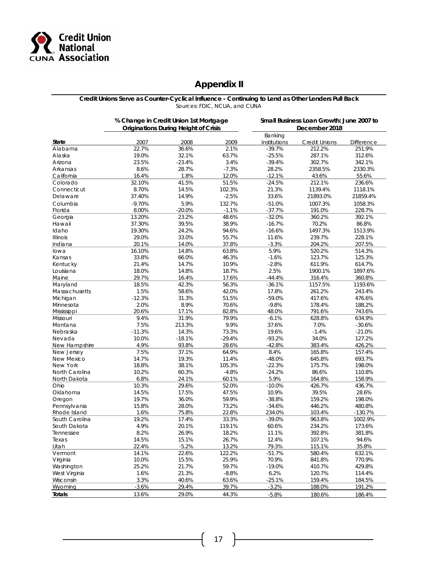

### **Appendix II**

**Credit Unions Serve as Counter-Cyclical Influence - Continuing to Lend as Other Lenders Pull Back** Sources: FDIC, NCUA, and CUNA

| <b>Originations During Height of Crisis</b><br>December 2018<br>Banking<br>State<br>2007<br>2008<br>2009<br>Credit Unions<br><b>Difference</b><br>Institutions<br>Alabama<br>22.7%<br>36.6%<br>2.1%<br>$-39.7%$<br>212.2%<br>251.9%<br>19.0%<br>Alaska<br>32.1%<br>63.7%<br>$-25.5%$<br>287.1%<br>312.6%<br>23.5%<br>Arizona<br>$-23.4%$<br>3.4%<br>$-39.4%$<br>302.7%<br>342.1%<br>8.6%<br>28.7%<br>$-7.3%$<br>28.2%<br>2358.5%<br>2330.3%<br>Arkansas<br>1.8%<br>16.4%<br>12.0%<br>$-12.1%$<br>43.6%<br>55.6%<br>California<br>32.10%<br>41.5%<br>51.5%<br>$-24.5%$<br>212.1%<br>236.6%<br>Colorado<br>8.70%<br>14.5%<br>102.3%<br>21.3%<br>1139.4%<br>Connecticut<br>1118.1%<br>37.40%<br>14.9%<br>$-2.5%$<br>33.6%<br>21893.0%<br>21859.4%<br>Delaware<br>Columbia<br>$-9.70%$<br>5.9%<br>132.7%<br>$-51.0%$<br>1007.3%<br>1058.3%<br>8.00%<br>$-20.0%$<br>$-1.1%$<br>$-37.7%$<br>191.0%<br>228.7%<br>Florida<br>48.6%<br>13.20%<br>23.2%<br>$-32.0%$<br>360.2%<br>392.1%<br>Georgia<br>39.5%<br>70.2%<br>Hawaii<br>37.30%<br>38.9%<br>$-16.7%$<br>86.8%<br>Idaho<br>19.30%<br>24.2%<br>94.6%<br>$-16.6%$<br>1497.3%<br>1513.9%<br>29.0%<br>33.0%<br>11.6%<br>239.7%<br><b>Illinois</b><br>55.7%<br>228.1%<br>20.1%<br>14.0%<br>37.8%<br>$-3.3%$<br>Indiana<br>204.2%<br>207.5%<br>14.8%<br>5.9%<br>16.10%<br>63.8%<br>520.2%<br>lowa<br>514.3%<br>33.8%<br>66.0%<br>46.3%<br>$-1.6%$<br>123.7%<br>125.3%<br>Kansas<br>21.4%<br>14.7%<br>10.9%<br>$-2.8%$<br>611.9%<br>Kentucky<br>614.7%<br>2.5%<br>18.0%<br>14.8%<br>18.7%<br>1900.1%<br>1897.6%<br>Louisiana<br>29.7%<br>16.4%<br>17.6%<br>$-44.4%$<br>Maine<br>316.4%<br>360.8%<br>18.5%<br>56.3%<br>42.3%<br>$-36.1%$<br>1157.5%<br>Maryland<br>1193.6%<br>1.5%<br>58.6%<br>42.0%<br>17.8%<br>261.2%<br>Massachusetts<br>243.4%<br>$-12.3%$<br>31.3%<br>51.5%<br>$-59.0%$<br>Michigan<br>417.6%<br>476.6%<br>2.0%<br>8.9%<br>70.6%<br>$-9.8%$<br>Minnesota<br>178.4%<br>188.2%<br>20.6%<br>17.1%<br>82.8%<br>48.0%<br>791.6%<br>Mississippi<br>743.6%<br>9.4%<br>31.9%<br>79.9%<br>$-6.1%$<br>628.8%<br>634.9%<br>Missouri<br>7.5%<br>9.9%<br>213.3%<br>37.6%<br>7.0%<br>Montana<br>$-30.6%$<br>$-11.3%$<br>14.3%<br>73.3%<br>19.6%<br>$-1.4%$<br>Nebraska<br>$-21.0%$<br>10.0%<br>$-18.1%$<br>$-93.2%$<br>34.0%<br>Nevada<br>$-29.4%$<br>127.2%<br>4.9%<br>93.8%<br>28.6%<br>$-42.8%$<br>383.4%<br>426.2%<br>New Hampshire<br>7.5%<br>37.1%<br>64.9%<br>8.4%<br>165.8%<br>157.4%<br>New Jersey<br>14.7%<br>19.3%<br>11.4%<br>New Mexico<br>$-48.0%$<br>645.8%<br>693.7%<br>New York<br>18.8%<br>38.1%<br>105.3%<br>$-22.3%$<br>175.7%<br>198.0%<br>North Carolina<br>10.2%<br>60.3%<br>$-4.8%$<br>$-24.2%$<br>86.6%<br>110.8%<br>6.8%<br>5.9%<br>24.1%<br>60.1%<br>164.8%<br>158.9%<br>North Dakota<br>10.3%<br>29.6%<br>$-10.0%$<br>Ohio<br>52.0%<br>426.7%<br>436.7%<br>14.5%<br>17.5%<br>47.5%<br>10.9%<br>39.5%<br>Oklahoma<br>28.6%<br>19.7%<br>36.0%<br>59.9%<br>$-38.8%$<br>159.2%<br>Oregon<br>198.0%<br>15.8%<br>28.0%<br>73.2%<br>Pennsylvania<br>$-34.6%$<br>446.2%<br>480.8%<br>1.6%<br>75.8%<br>22.8%<br>234.0%<br>Rhode Island<br>103.4%<br>$-130.7%$<br>19.2%<br>South Carolina<br>17.4%<br>33.3%<br>$-39.0%$<br>963.8%<br>1002.9%<br>South Dakota<br>4.9%<br>20.1%<br>119.1%<br>60.6%<br>234.2%<br>173.6%<br>8.2%<br>26.9%<br>18.2%<br>11.1%<br>392.8%<br>381.8%<br>Tennessee<br>lexas<br>14.5%<br>15.1%<br>26.7%<br>12.4%<br>107.1%<br>94.6%<br>22.4%<br>$-5.2%$<br>13.2%<br>79.3%<br>115.1%<br>35.8%<br>Utah<br>Vermont<br>14.1%<br>22.6%<br>122.2%<br>580.4%<br>632.1%<br>$-51.7%$<br>Virginia<br>10.0%<br>15.5%<br>25.9%<br>70.9%<br>841.8%<br>770.9%<br>25.2%<br>21.7%<br>59.7%<br>$-19.0%$<br>429.8%<br>Washington<br>410.7%<br>1.6%<br>21.3%<br>6.2%<br>West Virginia<br>$-8.8%$<br>120.7%<br>114.4%<br>3.3%<br>40.6%<br>$-25.1%$<br>159.4%<br>Wisconsin<br>63.6%<br>184.5%<br>$-3.6%$<br>$-3.2%$<br>Wyoming<br>29.4%<br>39.7%<br>188.0%<br>191.2%<br>13.6%<br>29.0%<br><b>Totals</b><br>44.3%<br>$-5.8%$<br>180.6%<br>186.4% | % Change in Credit Union 1st Mortgage |  | Small Business Loan Growth: June 2007 to |  |  |  |  |
|----------------------------------------------------------------------------------------------------------------------------------------------------------------------------------------------------------------------------------------------------------------------------------------------------------------------------------------------------------------------------------------------------------------------------------------------------------------------------------------------------------------------------------------------------------------------------------------------------------------------------------------------------------------------------------------------------------------------------------------------------------------------------------------------------------------------------------------------------------------------------------------------------------------------------------------------------------------------------------------------------------------------------------------------------------------------------------------------------------------------------------------------------------------------------------------------------------------------------------------------------------------------------------------------------------------------------------------------------------------------------------------------------------------------------------------------------------------------------------------------------------------------------------------------------------------------------------------------------------------------------------------------------------------------------------------------------------------------------------------------------------------------------------------------------------------------------------------------------------------------------------------------------------------------------------------------------------------------------------------------------------------------------------------------------------------------------------------------------------------------------------------------------------------------------------------------------------------------------------------------------------------------------------------------------------------------------------------------------------------------------------------------------------------------------------------------------------------------------------------------------------------------------------------------------------------------------------------------------------------------------------------------------------------------------------------------------------------------------------------------------------------------------------------------------------------------------------------------------------------------------------------------------------------------------------------------------------------------------------------------------------------------------------------------------------------------------------------------------------------------------------------------------------------------------------------------------------------------------------------------------------------------------------------------------------------------------------------------------------------------------------------------------------------------------------------------------------------------------------------------------------------------------------------------------------------------------------------------------------------------------------------------------------------------------------------------------------------------------------------------------------------------------------------------------------------------------------------------------------------------------------------------------------------------------------------------------------------------------------------------------------------|---------------------------------------|--|------------------------------------------|--|--|--|--|
|                                                                                                                                                                                                                                                                                                                                                                                                                                                                                                                                                                                                                                                                                                                                                                                                                                                                                                                                                                                                                                                                                                                                                                                                                                                                                                                                                                                                                                                                                                                                                                                                                                                                                                                                                                                                                                                                                                                                                                                                                                                                                                                                                                                                                                                                                                                                                                                                                                                                                                                                                                                                                                                                                                                                                                                                                                                                                                                                                                                                                                                                                                                                                                                                                                                                                                                                                                                                                                                                                                                                                                                                                                                                                                                                                                                                                                                                                                                                                                                                                |                                       |  |                                          |  |  |  |  |
|                                                                                                                                                                                                                                                                                                                                                                                                                                                                                                                                                                                                                                                                                                                                                                                                                                                                                                                                                                                                                                                                                                                                                                                                                                                                                                                                                                                                                                                                                                                                                                                                                                                                                                                                                                                                                                                                                                                                                                                                                                                                                                                                                                                                                                                                                                                                                                                                                                                                                                                                                                                                                                                                                                                                                                                                                                                                                                                                                                                                                                                                                                                                                                                                                                                                                                                                                                                                                                                                                                                                                                                                                                                                                                                                                                                                                                                                                                                                                                                                                |                                       |  |                                          |  |  |  |  |
|                                                                                                                                                                                                                                                                                                                                                                                                                                                                                                                                                                                                                                                                                                                                                                                                                                                                                                                                                                                                                                                                                                                                                                                                                                                                                                                                                                                                                                                                                                                                                                                                                                                                                                                                                                                                                                                                                                                                                                                                                                                                                                                                                                                                                                                                                                                                                                                                                                                                                                                                                                                                                                                                                                                                                                                                                                                                                                                                                                                                                                                                                                                                                                                                                                                                                                                                                                                                                                                                                                                                                                                                                                                                                                                                                                                                                                                                                                                                                                                                                |                                       |  |                                          |  |  |  |  |
|                                                                                                                                                                                                                                                                                                                                                                                                                                                                                                                                                                                                                                                                                                                                                                                                                                                                                                                                                                                                                                                                                                                                                                                                                                                                                                                                                                                                                                                                                                                                                                                                                                                                                                                                                                                                                                                                                                                                                                                                                                                                                                                                                                                                                                                                                                                                                                                                                                                                                                                                                                                                                                                                                                                                                                                                                                                                                                                                                                                                                                                                                                                                                                                                                                                                                                                                                                                                                                                                                                                                                                                                                                                                                                                                                                                                                                                                                                                                                                                                                |                                       |  |                                          |  |  |  |  |
|                                                                                                                                                                                                                                                                                                                                                                                                                                                                                                                                                                                                                                                                                                                                                                                                                                                                                                                                                                                                                                                                                                                                                                                                                                                                                                                                                                                                                                                                                                                                                                                                                                                                                                                                                                                                                                                                                                                                                                                                                                                                                                                                                                                                                                                                                                                                                                                                                                                                                                                                                                                                                                                                                                                                                                                                                                                                                                                                                                                                                                                                                                                                                                                                                                                                                                                                                                                                                                                                                                                                                                                                                                                                                                                                                                                                                                                                                                                                                                                                                |                                       |  |                                          |  |  |  |  |
|                                                                                                                                                                                                                                                                                                                                                                                                                                                                                                                                                                                                                                                                                                                                                                                                                                                                                                                                                                                                                                                                                                                                                                                                                                                                                                                                                                                                                                                                                                                                                                                                                                                                                                                                                                                                                                                                                                                                                                                                                                                                                                                                                                                                                                                                                                                                                                                                                                                                                                                                                                                                                                                                                                                                                                                                                                                                                                                                                                                                                                                                                                                                                                                                                                                                                                                                                                                                                                                                                                                                                                                                                                                                                                                                                                                                                                                                                                                                                                                                                |                                       |  |                                          |  |  |  |  |
|                                                                                                                                                                                                                                                                                                                                                                                                                                                                                                                                                                                                                                                                                                                                                                                                                                                                                                                                                                                                                                                                                                                                                                                                                                                                                                                                                                                                                                                                                                                                                                                                                                                                                                                                                                                                                                                                                                                                                                                                                                                                                                                                                                                                                                                                                                                                                                                                                                                                                                                                                                                                                                                                                                                                                                                                                                                                                                                                                                                                                                                                                                                                                                                                                                                                                                                                                                                                                                                                                                                                                                                                                                                                                                                                                                                                                                                                                                                                                                                                                |                                       |  |                                          |  |  |  |  |
|                                                                                                                                                                                                                                                                                                                                                                                                                                                                                                                                                                                                                                                                                                                                                                                                                                                                                                                                                                                                                                                                                                                                                                                                                                                                                                                                                                                                                                                                                                                                                                                                                                                                                                                                                                                                                                                                                                                                                                                                                                                                                                                                                                                                                                                                                                                                                                                                                                                                                                                                                                                                                                                                                                                                                                                                                                                                                                                                                                                                                                                                                                                                                                                                                                                                                                                                                                                                                                                                                                                                                                                                                                                                                                                                                                                                                                                                                                                                                                                                                |                                       |  |                                          |  |  |  |  |
|                                                                                                                                                                                                                                                                                                                                                                                                                                                                                                                                                                                                                                                                                                                                                                                                                                                                                                                                                                                                                                                                                                                                                                                                                                                                                                                                                                                                                                                                                                                                                                                                                                                                                                                                                                                                                                                                                                                                                                                                                                                                                                                                                                                                                                                                                                                                                                                                                                                                                                                                                                                                                                                                                                                                                                                                                                                                                                                                                                                                                                                                                                                                                                                                                                                                                                                                                                                                                                                                                                                                                                                                                                                                                                                                                                                                                                                                                                                                                                                                                |                                       |  |                                          |  |  |  |  |
|                                                                                                                                                                                                                                                                                                                                                                                                                                                                                                                                                                                                                                                                                                                                                                                                                                                                                                                                                                                                                                                                                                                                                                                                                                                                                                                                                                                                                                                                                                                                                                                                                                                                                                                                                                                                                                                                                                                                                                                                                                                                                                                                                                                                                                                                                                                                                                                                                                                                                                                                                                                                                                                                                                                                                                                                                                                                                                                                                                                                                                                                                                                                                                                                                                                                                                                                                                                                                                                                                                                                                                                                                                                                                                                                                                                                                                                                                                                                                                                                                |                                       |  |                                          |  |  |  |  |
|                                                                                                                                                                                                                                                                                                                                                                                                                                                                                                                                                                                                                                                                                                                                                                                                                                                                                                                                                                                                                                                                                                                                                                                                                                                                                                                                                                                                                                                                                                                                                                                                                                                                                                                                                                                                                                                                                                                                                                                                                                                                                                                                                                                                                                                                                                                                                                                                                                                                                                                                                                                                                                                                                                                                                                                                                                                                                                                                                                                                                                                                                                                                                                                                                                                                                                                                                                                                                                                                                                                                                                                                                                                                                                                                                                                                                                                                                                                                                                                                                |                                       |  |                                          |  |  |  |  |
|                                                                                                                                                                                                                                                                                                                                                                                                                                                                                                                                                                                                                                                                                                                                                                                                                                                                                                                                                                                                                                                                                                                                                                                                                                                                                                                                                                                                                                                                                                                                                                                                                                                                                                                                                                                                                                                                                                                                                                                                                                                                                                                                                                                                                                                                                                                                                                                                                                                                                                                                                                                                                                                                                                                                                                                                                                                                                                                                                                                                                                                                                                                                                                                                                                                                                                                                                                                                                                                                                                                                                                                                                                                                                                                                                                                                                                                                                                                                                                                                                |                                       |  |                                          |  |  |  |  |
|                                                                                                                                                                                                                                                                                                                                                                                                                                                                                                                                                                                                                                                                                                                                                                                                                                                                                                                                                                                                                                                                                                                                                                                                                                                                                                                                                                                                                                                                                                                                                                                                                                                                                                                                                                                                                                                                                                                                                                                                                                                                                                                                                                                                                                                                                                                                                                                                                                                                                                                                                                                                                                                                                                                                                                                                                                                                                                                                                                                                                                                                                                                                                                                                                                                                                                                                                                                                                                                                                                                                                                                                                                                                                                                                                                                                                                                                                                                                                                                                                |                                       |  |                                          |  |  |  |  |
|                                                                                                                                                                                                                                                                                                                                                                                                                                                                                                                                                                                                                                                                                                                                                                                                                                                                                                                                                                                                                                                                                                                                                                                                                                                                                                                                                                                                                                                                                                                                                                                                                                                                                                                                                                                                                                                                                                                                                                                                                                                                                                                                                                                                                                                                                                                                                                                                                                                                                                                                                                                                                                                                                                                                                                                                                                                                                                                                                                                                                                                                                                                                                                                                                                                                                                                                                                                                                                                                                                                                                                                                                                                                                                                                                                                                                                                                                                                                                                                                                |                                       |  |                                          |  |  |  |  |
|                                                                                                                                                                                                                                                                                                                                                                                                                                                                                                                                                                                                                                                                                                                                                                                                                                                                                                                                                                                                                                                                                                                                                                                                                                                                                                                                                                                                                                                                                                                                                                                                                                                                                                                                                                                                                                                                                                                                                                                                                                                                                                                                                                                                                                                                                                                                                                                                                                                                                                                                                                                                                                                                                                                                                                                                                                                                                                                                                                                                                                                                                                                                                                                                                                                                                                                                                                                                                                                                                                                                                                                                                                                                                                                                                                                                                                                                                                                                                                                                                |                                       |  |                                          |  |  |  |  |
|                                                                                                                                                                                                                                                                                                                                                                                                                                                                                                                                                                                                                                                                                                                                                                                                                                                                                                                                                                                                                                                                                                                                                                                                                                                                                                                                                                                                                                                                                                                                                                                                                                                                                                                                                                                                                                                                                                                                                                                                                                                                                                                                                                                                                                                                                                                                                                                                                                                                                                                                                                                                                                                                                                                                                                                                                                                                                                                                                                                                                                                                                                                                                                                                                                                                                                                                                                                                                                                                                                                                                                                                                                                                                                                                                                                                                                                                                                                                                                                                                |                                       |  |                                          |  |  |  |  |
|                                                                                                                                                                                                                                                                                                                                                                                                                                                                                                                                                                                                                                                                                                                                                                                                                                                                                                                                                                                                                                                                                                                                                                                                                                                                                                                                                                                                                                                                                                                                                                                                                                                                                                                                                                                                                                                                                                                                                                                                                                                                                                                                                                                                                                                                                                                                                                                                                                                                                                                                                                                                                                                                                                                                                                                                                                                                                                                                                                                                                                                                                                                                                                                                                                                                                                                                                                                                                                                                                                                                                                                                                                                                                                                                                                                                                                                                                                                                                                                                                |                                       |  |                                          |  |  |  |  |
|                                                                                                                                                                                                                                                                                                                                                                                                                                                                                                                                                                                                                                                                                                                                                                                                                                                                                                                                                                                                                                                                                                                                                                                                                                                                                                                                                                                                                                                                                                                                                                                                                                                                                                                                                                                                                                                                                                                                                                                                                                                                                                                                                                                                                                                                                                                                                                                                                                                                                                                                                                                                                                                                                                                                                                                                                                                                                                                                                                                                                                                                                                                                                                                                                                                                                                                                                                                                                                                                                                                                                                                                                                                                                                                                                                                                                                                                                                                                                                                                                |                                       |  |                                          |  |  |  |  |
|                                                                                                                                                                                                                                                                                                                                                                                                                                                                                                                                                                                                                                                                                                                                                                                                                                                                                                                                                                                                                                                                                                                                                                                                                                                                                                                                                                                                                                                                                                                                                                                                                                                                                                                                                                                                                                                                                                                                                                                                                                                                                                                                                                                                                                                                                                                                                                                                                                                                                                                                                                                                                                                                                                                                                                                                                                                                                                                                                                                                                                                                                                                                                                                                                                                                                                                                                                                                                                                                                                                                                                                                                                                                                                                                                                                                                                                                                                                                                                                                                |                                       |  |                                          |  |  |  |  |
|                                                                                                                                                                                                                                                                                                                                                                                                                                                                                                                                                                                                                                                                                                                                                                                                                                                                                                                                                                                                                                                                                                                                                                                                                                                                                                                                                                                                                                                                                                                                                                                                                                                                                                                                                                                                                                                                                                                                                                                                                                                                                                                                                                                                                                                                                                                                                                                                                                                                                                                                                                                                                                                                                                                                                                                                                                                                                                                                                                                                                                                                                                                                                                                                                                                                                                                                                                                                                                                                                                                                                                                                                                                                                                                                                                                                                                                                                                                                                                                                                |                                       |  |                                          |  |  |  |  |
|                                                                                                                                                                                                                                                                                                                                                                                                                                                                                                                                                                                                                                                                                                                                                                                                                                                                                                                                                                                                                                                                                                                                                                                                                                                                                                                                                                                                                                                                                                                                                                                                                                                                                                                                                                                                                                                                                                                                                                                                                                                                                                                                                                                                                                                                                                                                                                                                                                                                                                                                                                                                                                                                                                                                                                                                                                                                                                                                                                                                                                                                                                                                                                                                                                                                                                                                                                                                                                                                                                                                                                                                                                                                                                                                                                                                                                                                                                                                                                                                                |                                       |  |                                          |  |  |  |  |
|                                                                                                                                                                                                                                                                                                                                                                                                                                                                                                                                                                                                                                                                                                                                                                                                                                                                                                                                                                                                                                                                                                                                                                                                                                                                                                                                                                                                                                                                                                                                                                                                                                                                                                                                                                                                                                                                                                                                                                                                                                                                                                                                                                                                                                                                                                                                                                                                                                                                                                                                                                                                                                                                                                                                                                                                                                                                                                                                                                                                                                                                                                                                                                                                                                                                                                                                                                                                                                                                                                                                                                                                                                                                                                                                                                                                                                                                                                                                                                                                                |                                       |  |                                          |  |  |  |  |
|                                                                                                                                                                                                                                                                                                                                                                                                                                                                                                                                                                                                                                                                                                                                                                                                                                                                                                                                                                                                                                                                                                                                                                                                                                                                                                                                                                                                                                                                                                                                                                                                                                                                                                                                                                                                                                                                                                                                                                                                                                                                                                                                                                                                                                                                                                                                                                                                                                                                                                                                                                                                                                                                                                                                                                                                                                                                                                                                                                                                                                                                                                                                                                                                                                                                                                                                                                                                                                                                                                                                                                                                                                                                                                                                                                                                                                                                                                                                                                                                                |                                       |  |                                          |  |  |  |  |
|                                                                                                                                                                                                                                                                                                                                                                                                                                                                                                                                                                                                                                                                                                                                                                                                                                                                                                                                                                                                                                                                                                                                                                                                                                                                                                                                                                                                                                                                                                                                                                                                                                                                                                                                                                                                                                                                                                                                                                                                                                                                                                                                                                                                                                                                                                                                                                                                                                                                                                                                                                                                                                                                                                                                                                                                                                                                                                                                                                                                                                                                                                                                                                                                                                                                                                                                                                                                                                                                                                                                                                                                                                                                                                                                                                                                                                                                                                                                                                                                                |                                       |  |                                          |  |  |  |  |
|                                                                                                                                                                                                                                                                                                                                                                                                                                                                                                                                                                                                                                                                                                                                                                                                                                                                                                                                                                                                                                                                                                                                                                                                                                                                                                                                                                                                                                                                                                                                                                                                                                                                                                                                                                                                                                                                                                                                                                                                                                                                                                                                                                                                                                                                                                                                                                                                                                                                                                                                                                                                                                                                                                                                                                                                                                                                                                                                                                                                                                                                                                                                                                                                                                                                                                                                                                                                                                                                                                                                                                                                                                                                                                                                                                                                                                                                                                                                                                                                                |                                       |  |                                          |  |  |  |  |
|                                                                                                                                                                                                                                                                                                                                                                                                                                                                                                                                                                                                                                                                                                                                                                                                                                                                                                                                                                                                                                                                                                                                                                                                                                                                                                                                                                                                                                                                                                                                                                                                                                                                                                                                                                                                                                                                                                                                                                                                                                                                                                                                                                                                                                                                                                                                                                                                                                                                                                                                                                                                                                                                                                                                                                                                                                                                                                                                                                                                                                                                                                                                                                                                                                                                                                                                                                                                                                                                                                                                                                                                                                                                                                                                                                                                                                                                                                                                                                                                                |                                       |  |                                          |  |  |  |  |
|                                                                                                                                                                                                                                                                                                                                                                                                                                                                                                                                                                                                                                                                                                                                                                                                                                                                                                                                                                                                                                                                                                                                                                                                                                                                                                                                                                                                                                                                                                                                                                                                                                                                                                                                                                                                                                                                                                                                                                                                                                                                                                                                                                                                                                                                                                                                                                                                                                                                                                                                                                                                                                                                                                                                                                                                                                                                                                                                                                                                                                                                                                                                                                                                                                                                                                                                                                                                                                                                                                                                                                                                                                                                                                                                                                                                                                                                                                                                                                                                                |                                       |  |                                          |  |  |  |  |
|                                                                                                                                                                                                                                                                                                                                                                                                                                                                                                                                                                                                                                                                                                                                                                                                                                                                                                                                                                                                                                                                                                                                                                                                                                                                                                                                                                                                                                                                                                                                                                                                                                                                                                                                                                                                                                                                                                                                                                                                                                                                                                                                                                                                                                                                                                                                                                                                                                                                                                                                                                                                                                                                                                                                                                                                                                                                                                                                                                                                                                                                                                                                                                                                                                                                                                                                                                                                                                                                                                                                                                                                                                                                                                                                                                                                                                                                                                                                                                                                                |                                       |  |                                          |  |  |  |  |
|                                                                                                                                                                                                                                                                                                                                                                                                                                                                                                                                                                                                                                                                                                                                                                                                                                                                                                                                                                                                                                                                                                                                                                                                                                                                                                                                                                                                                                                                                                                                                                                                                                                                                                                                                                                                                                                                                                                                                                                                                                                                                                                                                                                                                                                                                                                                                                                                                                                                                                                                                                                                                                                                                                                                                                                                                                                                                                                                                                                                                                                                                                                                                                                                                                                                                                                                                                                                                                                                                                                                                                                                                                                                                                                                                                                                                                                                                                                                                                                                                |                                       |  |                                          |  |  |  |  |
|                                                                                                                                                                                                                                                                                                                                                                                                                                                                                                                                                                                                                                                                                                                                                                                                                                                                                                                                                                                                                                                                                                                                                                                                                                                                                                                                                                                                                                                                                                                                                                                                                                                                                                                                                                                                                                                                                                                                                                                                                                                                                                                                                                                                                                                                                                                                                                                                                                                                                                                                                                                                                                                                                                                                                                                                                                                                                                                                                                                                                                                                                                                                                                                                                                                                                                                                                                                                                                                                                                                                                                                                                                                                                                                                                                                                                                                                                                                                                                                                                |                                       |  |                                          |  |  |  |  |
|                                                                                                                                                                                                                                                                                                                                                                                                                                                                                                                                                                                                                                                                                                                                                                                                                                                                                                                                                                                                                                                                                                                                                                                                                                                                                                                                                                                                                                                                                                                                                                                                                                                                                                                                                                                                                                                                                                                                                                                                                                                                                                                                                                                                                                                                                                                                                                                                                                                                                                                                                                                                                                                                                                                                                                                                                                                                                                                                                                                                                                                                                                                                                                                                                                                                                                                                                                                                                                                                                                                                                                                                                                                                                                                                                                                                                                                                                                                                                                                                                |                                       |  |                                          |  |  |  |  |
|                                                                                                                                                                                                                                                                                                                                                                                                                                                                                                                                                                                                                                                                                                                                                                                                                                                                                                                                                                                                                                                                                                                                                                                                                                                                                                                                                                                                                                                                                                                                                                                                                                                                                                                                                                                                                                                                                                                                                                                                                                                                                                                                                                                                                                                                                                                                                                                                                                                                                                                                                                                                                                                                                                                                                                                                                                                                                                                                                                                                                                                                                                                                                                                                                                                                                                                                                                                                                                                                                                                                                                                                                                                                                                                                                                                                                                                                                                                                                                                                                |                                       |  |                                          |  |  |  |  |
|                                                                                                                                                                                                                                                                                                                                                                                                                                                                                                                                                                                                                                                                                                                                                                                                                                                                                                                                                                                                                                                                                                                                                                                                                                                                                                                                                                                                                                                                                                                                                                                                                                                                                                                                                                                                                                                                                                                                                                                                                                                                                                                                                                                                                                                                                                                                                                                                                                                                                                                                                                                                                                                                                                                                                                                                                                                                                                                                                                                                                                                                                                                                                                                                                                                                                                                                                                                                                                                                                                                                                                                                                                                                                                                                                                                                                                                                                                                                                                                                                |                                       |  |                                          |  |  |  |  |
|                                                                                                                                                                                                                                                                                                                                                                                                                                                                                                                                                                                                                                                                                                                                                                                                                                                                                                                                                                                                                                                                                                                                                                                                                                                                                                                                                                                                                                                                                                                                                                                                                                                                                                                                                                                                                                                                                                                                                                                                                                                                                                                                                                                                                                                                                                                                                                                                                                                                                                                                                                                                                                                                                                                                                                                                                                                                                                                                                                                                                                                                                                                                                                                                                                                                                                                                                                                                                                                                                                                                                                                                                                                                                                                                                                                                                                                                                                                                                                                                                |                                       |  |                                          |  |  |  |  |
|                                                                                                                                                                                                                                                                                                                                                                                                                                                                                                                                                                                                                                                                                                                                                                                                                                                                                                                                                                                                                                                                                                                                                                                                                                                                                                                                                                                                                                                                                                                                                                                                                                                                                                                                                                                                                                                                                                                                                                                                                                                                                                                                                                                                                                                                                                                                                                                                                                                                                                                                                                                                                                                                                                                                                                                                                                                                                                                                                                                                                                                                                                                                                                                                                                                                                                                                                                                                                                                                                                                                                                                                                                                                                                                                                                                                                                                                                                                                                                                                                |                                       |  |                                          |  |  |  |  |
|                                                                                                                                                                                                                                                                                                                                                                                                                                                                                                                                                                                                                                                                                                                                                                                                                                                                                                                                                                                                                                                                                                                                                                                                                                                                                                                                                                                                                                                                                                                                                                                                                                                                                                                                                                                                                                                                                                                                                                                                                                                                                                                                                                                                                                                                                                                                                                                                                                                                                                                                                                                                                                                                                                                                                                                                                                                                                                                                                                                                                                                                                                                                                                                                                                                                                                                                                                                                                                                                                                                                                                                                                                                                                                                                                                                                                                                                                                                                                                                                                |                                       |  |                                          |  |  |  |  |
|                                                                                                                                                                                                                                                                                                                                                                                                                                                                                                                                                                                                                                                                                                                                                                                                                                                                                                                                                                                                                                                                                                                                                                                                                                                                                                                                                                                                                                                                                                                                                                                                                                                                                                                                                                                                                                                                                                                                                                                                                                                                                                                                                                                                                                                                                                                                                                                                                                                                                                                                                                                                                                                                                                                                                                                                                                                                                                                                                                                                                                                                                                                                                                                                                                                                                                                                                                                                                                                                                                                                                                                                                                                                                                                                                                                                                                                                                                                                                                                                                |                                       |  |                                          |  |  |  |  |
|                                                                                                                                                                                                                                                                                                                                                                                                                                                                                                                                                                                                                                                                                                                                                                                                                                                                                                                                                                                                                                                                                                                                                                                                                                                                                                                                                                                                                                                                                                                                                                                                                                                                                                                                                                                                                                                                                                                                                                                                                                                                                                                                                                                                                                                                                                                                                                                                                                                                                                                                                                                                                                                                                                                                                                                                                                                                                                                                                                                                                                                                                                                                                                                                                                                                                                                                                                                                                                                                                                                                                                                                                                                                                                                                                                                                                                                                                                                                                                                                                |                                       |  |                                          |  |  |  |  |
|                                                                                                                                                                                                                                                                                                                                                                                                                                                                                                                                                                                                                                                                                                                                                                                                                                                                                                                                                                                                                                                                                                                                                                                                                                                                                                                                                                                                                                                                                                                                                                                                                                                                                                                                                                                                                                                                                                                                                                                                                                                                                                                                                                                                                                                                                                                                                                                                                                                                                                                                                                                                                                                                                                                                                                                                                                                                                                                                                                                                                                                                                                                                                                                                                                                                                                                                                                                                                                                                                                                                                                                                                                                                                                                                                                                                                                                                                                                                                                                                                |                                       |  |                                          |  |  |  |  |
|                                                                                                                                                                                                                                                                                                                                                                                                                                                                                                                                                                                                                                                                                                                                                                                                                                                                                                                                                                                                                                                                                                                                                                                                                                                                                                                                                                                                                                                                                                                                                                                                                                                                                                                                                                                                                                                                                                                                                                                                                                                                                                                                                                                                                                                                                                                                                                                                                                                                                                                                                                                                                                                                                                                                                                                                                                                                                                                                                                                                                                                                                                                                                                                                                                                                                                                                                                                                                                                                                                                                                                                                                                                                                                                                                                                                                                                                                                                                                                                                                |                                       |  |                                          |  |  |  |  |
|                                                                                                                                                                                                                                                                                                                                                                                                                                                                                                                                                                                                                                                                                                                                                                                                                                                                                                                                                                                                                                                                                                                                                                                                                                                                                                                                                                                                                                                                                                                                                                                                                                                                                                                                                                                                                                                                                                                                                                                                                                                                                                                                                                                                                                                                                                                                                                                                                                                                                                                                                                                                                                                                                                                                                                                                                                                                                                                                                                                                                                                                                                                                                                                                                                                                                                                                                                                                                                                                                                                                                                                                                                                                                                                                                                                                                                                                                                                                                                                                                |                                       |  |                                          |  |  |  |  |
|                                                                                                                                                                                                                                                                                                                                                                                                                                                                                                                                                                                                                                                                                                                                                                                                                                                                                                                                                                                                                                                                                                                                                                                                                                                                                                                                                                                                                                                                                                                                                                                                                                                                                                                                                                                                                                                                                                                                                                                                                                                                                                                                                                                                                                                                                                                                                                                                                                                                                                                                                                                                                                                                                                                                                                                                                                                                                                                                                                                                                                                                                                                                                                                                                                                                                                                                                                                                                                                                                                                                                                                                                                                                                                                                                                                                                                                                                                                                                                                                                |                                       |  |                                          |  |  |  |  |
|                                                                                                                                                                                                                                                                                                                                                                                                                                                                                                                                                                                                                                                                                                                                                                                                                                                                                                                                                                                                                                                                                                                                                                                                                                                                                                                                                                                                                                                                                                                                                                                                                                                                                                                                                                                                                                                                                                                                                                                                                                                                                                                                                                                                                                                                                                                                                                                                                                                                                                                                                                                                                                                                                                                                                                                                                                                                                                                                                                                                                                                                                                                                                                                                                                                                                                                                                                                                                                                                                                                                                                                                                                                                                                                                                                                                                                                                                                                                                                                                                |                                       |  |                                          |  |  |  |  |
|                                                                                                                                                                                                                                                                                                                                                                                                                                                                                                                                                                                                                                                                                                                                                                                                                                                                                                                                                                                                                                                                                                                                                                                                                                                                                                                                                                                                                                                                                                                                                                                                                                                                                                                                                                                                                                                                                                                                                                                                                                                                                                                                                                                                                                                                                                                                                                                                                                                                                                                                                                                                                                                                                                                                                                                                                                                                                                                                                                                                                                                                                                                                                                                                                                                                                                                                                                                                                                                                                                                                                                                                                                                                                                                                                                                                                                                                                                                                                                                                                |                                       |  |                                          |  |  |  |  |
|                                                                                                                                                                                                                                                                                                                                                                                                                                                                                                                                                                                                                                                                                                                                                                                                                                                                                                                                                                                                                                                                                                                                                                                                                                                                                                                                                                                                                                                                                                                                                                                                                                                                                                                                                                                                                                                                                                                                                                                                                                                                                                                                                                                                                                                                                                                                                                                                                                                                                                                                                                                                                                                                                                                                                                                                                                                                                                                                                                                                                                                                                                                                                                                                                                                                                                                                                                                                                                                                                                                                                                                                                                                                                                                                                                                                                                                                                                                                                                                                                |                                       |  |                                          |  |  |  |  |
|                                                                                                                                                                                                                                                                                                                                                                                                                                                                                                                                                                                                                                                                                                                                                                                                                                                                                                                                                                                                                                                                                                                                                                                                                                                                                                                                                                                                                                                                                                                                                                                                                                                                                                                                                                                                                                                                                                                                                                                                                                                                                                                                                                                                                                                                                                                                                                                                                                                                                                                                                                                                                                                                                                                                                                                                                                                                                                                                                                                                                                                                                                                                                                                                                                                                                                                                                                                                                                                                                                                                                                                                                                                                                                                                                                                                                                                                                                                                                                                                                |                                       |  |                                          |  |  |  |  |
|                                                                                                                                                                                                                                                                                                                                                                                                                                                                                                                                                                                                                                                                                                                                                                                                                                                                                                                                                                                                                                                                                                                                                                                                                                                                                                                                                                                                                                                                                                                                                                                                                                                                                                                                                                                                                                                                                                                                                                                                                                                                                                                                                                                                                                                                                                                                                                                                                                                                                                                                                                                                                                                                                                                                                                                                                                                                                                                                                                                                                                                                                                                                                                                                                                                                                                                                                                                                                                                                                                                                                                                                                                                                                                                                                                                                                                                                                                                                                                                                                |                                       |  |                                          |  |  |  |  |
|                                                                                                                                                                                                                                                                                                                                                                                                                                                                                                                                                                                                                                                                                                                                                                                                                                                                                                                                                                                                                                                                                                                                                                                                                                                                                                                                                                                                                                                                                                                                                                                                                                                                                                                                                                                                                                                                                                                                                                                                                                                                                                                                                                                                                                                                                                                                                                                                                                                                                                                                                                                                                                                                                                                                                                                                                                                                                                                                                                                                                                                                                                                                                                                                                                                                                                                                                                                                                                                                                                                                                                                                                                                                                                                                                                                                                                                                                                                                                                                                                |                                       |  |                                          |  |  |  |  |
|                                                                                                                                                                                                                                                                                                                                                                                                                                                                                                                                                                                                                                                                                                                                                                                                                                                                                                                                                                                                                                                                                                                                                                                                                                                                                                                                                                                                                                                                                                                                                                                                                                                                                                                                                                                                                                                                                                                                                                                                                                                                                                                                                                                                                                                                                                                                                                                                                                                                                                                                                                                                                                                                                                                                                                                                                                                                                                                                                                                                                                                                                                                                                                                                                                                                                                                                                                                                                                                                                                                                                                                                                                                                                                                                                                                                                                                                                                                                                                                                                |                                       |  |                                          |  |  |  |  |
|                                                                                                                                                                                                                                                                                                                                                                                                                                                                                                                                                                                                                                                                                                                                                                                                                                                                                                                                                                                                                                                                                                                                                                                                                                                                                                                                                                                                                                                                                                                                                                                                                                                                                                                                                                                                                                                                                                                                                                                                                                                                                                                                                                                                                                                                                                                                                                                                                                                                                                                                                                                                                                                                                                                                                                                                                                                                                                                                                                                                                                                                                                                                                                                                                                                                                                                                                                                                                                                                                                                                                                                                                                                                                                                                                                                                                                                                                                                                                                                                                |                                       |  |                                          |  |  |  |  |
|                                                                                                                                                                                                                                                                                                                                                                                                                                                                                                                                                                                                                                                                                                                                                                                                                                                                                                                                                                                                                                                                                                                                                                                                                                                                                                                                                                                                                                                                                                                                                                                                                                                                                                                                                                                                                                                                                                                                                                                                                                                                                                                                                                                                                                                                                                                                                                                                                                                                                                                                                                                                                                                                                                                                                                                                                                                                                                                                                                                                                                                                                                                                                                                                                                                                                                                                                                                                                                                                                                                                                                                                                                                                                                                                                                                                                                                                                                                                                                                                                |                                       |  |                                          |  |  |  |  |
|                                                                                                                                                                                                                                                                                                                                                                                                                                                                                                                                                                                                                                                                                                                                                                                                                                                                                                                                                                                                                                                                                                                                                                                                                                                                                                                                                                                                                                                                                                                                                                                                                                                                                                                                                                                                                                                                                                                                                                                                                                                                                                                                                                                                                                                                                                                                                                                                                                                                                                                                                                                                                                                                                                                                                                                                                                                                                                                                                                                                                                                                                                                                                                                                                                                                                                                                                                                                                                                                                                                                                                                                                                                                                                                                                                                                                                                                                                                                                                                                                |                                       |  |                                          |  |  |  |  |
|                                                                                                                                                                                                                                                                                                                                                                                                                                                                                                                                                                                                                                                                                                                                                                                                                                                                                                                                                                                                                                                                                                                                                                                                                                                                                                                                                                                                                                                                                                                                                                                                                                                                                                                                                                                                                                                                                                                                                                                                                                                                                                                                                                                                                                                                                                                                                                                                                                                                                                                                                                                                                                                                                                                                                                                                                                                                                                                                                                                                                                                                                                                                                                                                                                                                                                                                                                                                                                                                                                                                                                                                                                                                                                                                                                                                                                                                                                                                                                                                                |                                       |  |                                          |  |  |  |  |
|                                                                                                                                                                                                                                                                                                                                                                                                                                                                                                                                                                                                                                                                                                                                                                                                                                                                                                                                                                                                                                                                                                                                                                                                                                                                                                                                                                                                                                                                                                                                                                                                                                                                                                                                                                                                                                                                                                                                                                                                                                                                                                                                                                                                                                                                                                                                                                                                                                                                                                                                                                                                                                                                                                                                                                                                                                                                                                                                                                                                                                                                                                                                                                                                                                                                                                                                                                                                                                                                                                                                                                                                                                                                                                                                                                                                                                                                                                                                                                                                                |                                       |  |                                          |  |  |  |  |
|                                                                                                                                                                                                                                                                                                                                                                                                                                                                                                                                                                                                                                                                                                                                                                                                                                                                                                                                                                                                                                                                                                                                                                                                                                                                                                                                                                                                                                                                                                                                                                                                                                                                                                                                                                                                                                                                                                                                                                                                                                                                                                                                                                                                                                                                                                                                                                                                                                                                                                                                                                                                                                                                                                                                                                                                                                                                                                                                                                                                                                                                                                                                                                                                                                                                                                                                                                                                                                                                                                                                                                                                                                                                                                                                                                                                                                                                                                                                                                                                                |                                       |  |                                          |  |  |  |  |

 $\left\{ 17\right\}$